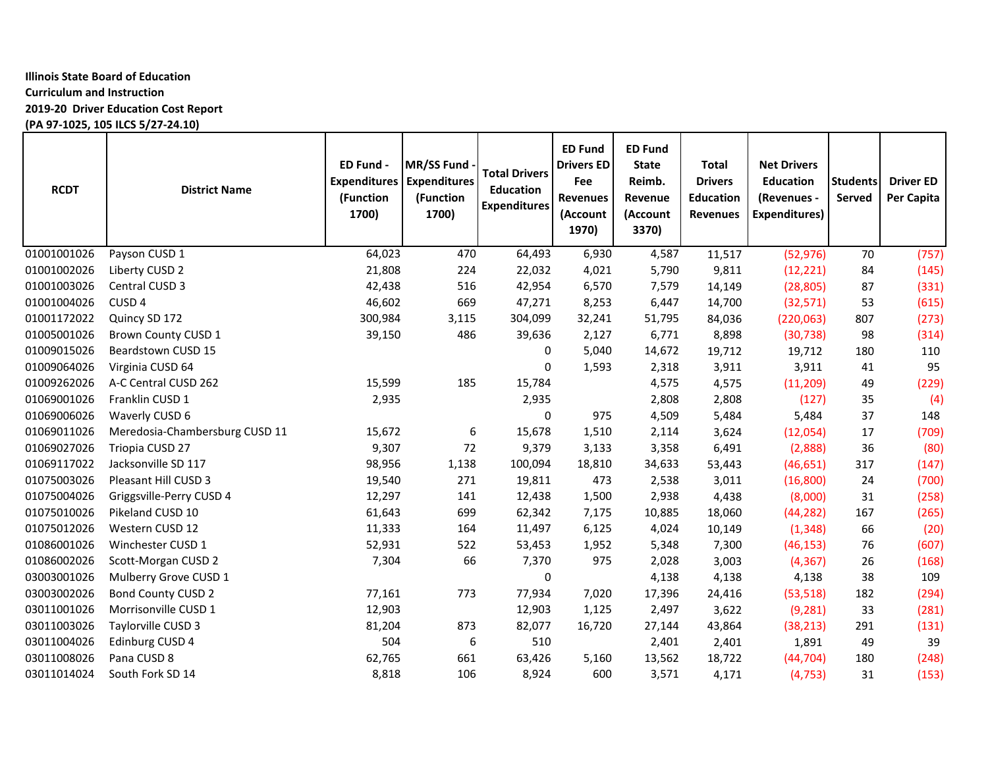# **Illinois State Board of Education**

# **Curriculum and Instruction**

**2019-20 Driver Education Cost Report**

**(PA 97-1025, 105 ILCS 5/27-24.10)**

| <b>RCDT</b> | <b>District Name</b>           | ED Fund -<br><b>Expenditures</b><br>(Function<br>1700) | MR/SS Fund<br><b>Expenditures</b><br>(Function<br>1700) | <b>Total Drivers</b><br><b>Education</b><br><b>Expenditures</b> | <b>ED Fund</b><br><b>Drivers ED</b><br>Fee<br><b>Revenues</b><br>(Account<br>1970) | <b>ED Fund</b><br><b>State</b><br>Reimb.<br>Revenue<br>(Account<br>3370) | Total<br><b>Drivers</b><br><b>Education</b><br><b>Revenues</b> | <b>Net Drivers</b><br><b>Education</b><br>(Revenues -<br><b>Expenditures)</b> | <b>Students</b><br>Served | <b>Driver ED</b><br>Per Capita |
|-------------|--------------------------------|--------------------------------------------------------|---------------------------------------------------------|-----------------------------------------------------------------|------------------------------------------------------------------------------------|--------------------------------------------------------------------------|----------------------------------------------------------------|-------------------------------------------------------------------------------|---------------------------|--------------------------------|
| 01001001026 | Payson CUSD 1                  | 64,023                                                 | 470                                                     | 64,493                                                          | 6,930                                                                              | 4,587                                                                    | 11,517                                                         | (52, 976)                                                                     | 70                        | (757)                          |
| 01001002026 | Liberty CUSD 2                 | 21,808                                                 | 224                                                     | 22,032                                                          | 4,021                                                                              | 5,790                                                                    | 9,811                                                          | (12, 221)                                                                     | 84                        | (145)                          |
| 01001003026 | Central CUSD 3                 | 42,438                                                 | 516                                                     | 42,954                                                          | 6,570                                                                              | 7,579                                                                    | 14,149                                                         | (28, 805)                                                                     | 87                        | (331)                          |
| 01001004026 | CUSD <sub>4</sub>              | 46,602                                                 | 669                                                     | 47,271                                                          | 8,253                                                                              | 6,447                                                                    | 14,700                                                         | (32, 571)                                                                     | 53                        | (615)                          |
| 01001172022 | Quincy SD 172                  | 300,984                                                | 3,115                                                   | 304,099                                                         | 32,241                                                                             | 51,795                                                                   | 84,036                                                         | (220,063)                                                                     | 807                       | (273)                          |
| 01005001026 | Brown County CUSD 1            | 39,150                                                 | 486                                                     | 39,636                                                          | 2,127                                                                              | 6,771                                                                    | 8,898                                                          | (30, 738)                                                                     | 98                        | (314)                          |
| 01009015026 | Beardstown CUSD 15             |                                                        |                                                         | 0                                                               | 5,040                                                                              | 14,672                                                                   | 19,712                                                         | 19,712                                                                        | 180                       | 110                            |
| 01009064026 | Virginia CUSD 64               |                                                        |                                                         | 0                                                               | 1,593                                                                              | 2,318                                                                    | 3,911                                                          | 3,911                                                                         | 41                        | 95                             |
| 01009262026 | A-C Central CUSD 262           | 15,599                                                 | 185                                                     | 15,784                                                          |                                                                                    | 4,575                                                                    | 4,575                                                          | (11, 209)                                                                     | 49                        | (229)                          |
| 01069001026 | Franklin CUSD 1                | 2,935                                                  |                                                         | 2,935                                                           |                                                                                    | 2,808                                                                    | 2,808                                                          | (127)                                                                         | 35                        | (4)                            |
| 01069006026 | Waverly CUSD 6                 |                                                        |                                                         | 0                                                               | 975                                                                                | 4,509                                                                    | 5,484                                                          | 5,484                                                                         | 37                        | 148                            |
| 01069011026 | Meredosia-Chambersburg CUSD 11 | 15,672                                                 | 6                                                       | 15,678                                                          | 1,510                                                                              | 2,114                                                                    | 3,624                                                          | (12,054)                                                                      | 17                        | (709)                          |
| 01069027026 | Triopia CUSD 27                | 9,307                                                  | 72                                                      | 9,379                                                           | 3,133                                                                              | 3,358                                                                    | 6,491                                                          | (2,888)                                                                       | 36                        | (80)                           |
| 01069117022 | Jacksonville SD 117            | 98,956                                                 | 1,138                                                   | 100,094                                                         | 18,810                                                                             | 34,633                                                                   | 53,443                                                         | (46, 651)                                                                     | 317                       | (147)                          |
| 01075003026 | Pleasant Hill CUSD 3           | 19,540                                                 | 271                                                     | 19,811                                                          | 473                                                                                | 2,538                                                                    | 3,011                                                          | (16, 800)                                                                     | 24                        | (700)                          |
| 01075004026 | Griggsville-Perry CUSD 4       | 12,297                                                 | 141                                                     | 12,438                                                          | 1,500                                                                              | 2,938                                                                    | 4,438                                                          | (8,000)                                                                       | 31                        | (258)                          |
| 01075010026 | Pikeland CUSD 10               | 61,643                                                 | 699                                                     | 62,342                                                          | 7,175                                                                              | 10,885                                                                   | 18,060                                                         | (44, 282)                                                                     | 167                       | (265)                          |
| 01075012026 | Western CUSD 12                | 11,333                                                 | 164                                                     | 11,497                                                          | 6,125                                                                              | 4,024                                                                    | 10,149                                                         | (1, 348)                                                                      | 66                        | (20)                           |
| 01086001026 | Winchester CUSD 1              | 52,931                                                 | 522                                                     | 53,453                                                          | 1,952                                                                              | 5,348                                                                    | 7,300                                                          | (46, 153)                                                                     | 76                        | (607)                          |
| 01086002026 | Scott-Morgan CUSD 2            | 7,304                                                  | 66                                                      | 7,370                                                           | 975                                                                                | 2,028                                                                    | 3,003                                                          | (4, 367)                                                                      | 26                        | (168)                          |
| 03003001026 | Mulberry Grove CUSD 1          |                                                        |                                                         | 0                                                               |                                                                                    | 4,138                                                                    | 4,138                                                          | 4,138                                                                         | 38                        | 109                            |
| 03003002026 | <b>Bond County CUSD 2</b>      | 77,161                                                 | 773                                                     | 77,934                                                          | 7,020                                                                              | 17,396                                                                   | 24,416                                                         | (53, 518)                                                                     | 182                       | (294)                          |
| 03011001026 | Morrisonville CUSD 1           | 12,903                                                 |                                                         | 12,903                                                          | 1,125                                                                              | 2,497                                                                    | 3,622                                                          | (9, 281)                                                                      | 33                        | (281)                          |
| 03011003026 | Taylorville CUSD 3             | 81,204                                                 | 873                                                     | 82,077                                                          | 16,720                                                                             | 27,144                                                                   | 43,864                                                         | (38, 213)                                                                     | 291                       | (131)                          |
| 03011004026 | Edinburg CUSD 4                | 504                                                    | 6                                                       | 510                                                             |                                                                                    | 2,401                                                                    | 2,401                                                          | 1,891                                                                         | 49                        | 39                             |
| 03011008026 | Pana CUSD 8                    | 62,765                                                 | 661                                                     | 63,426                                                          | 5,160                                                                              | 13,562                                                                   | 18,722                                                         | (44, 704)                                                                     | 180                       | (248)                          |
| 03011014024 | South Fork SD 14               | 8,818                                                  | 106                                                     | 8,924                                                           | 600                                                                                | 3,571                                                                    | 4,171                                                          | (4, 753)                                                                      | 31                        | (153)                          |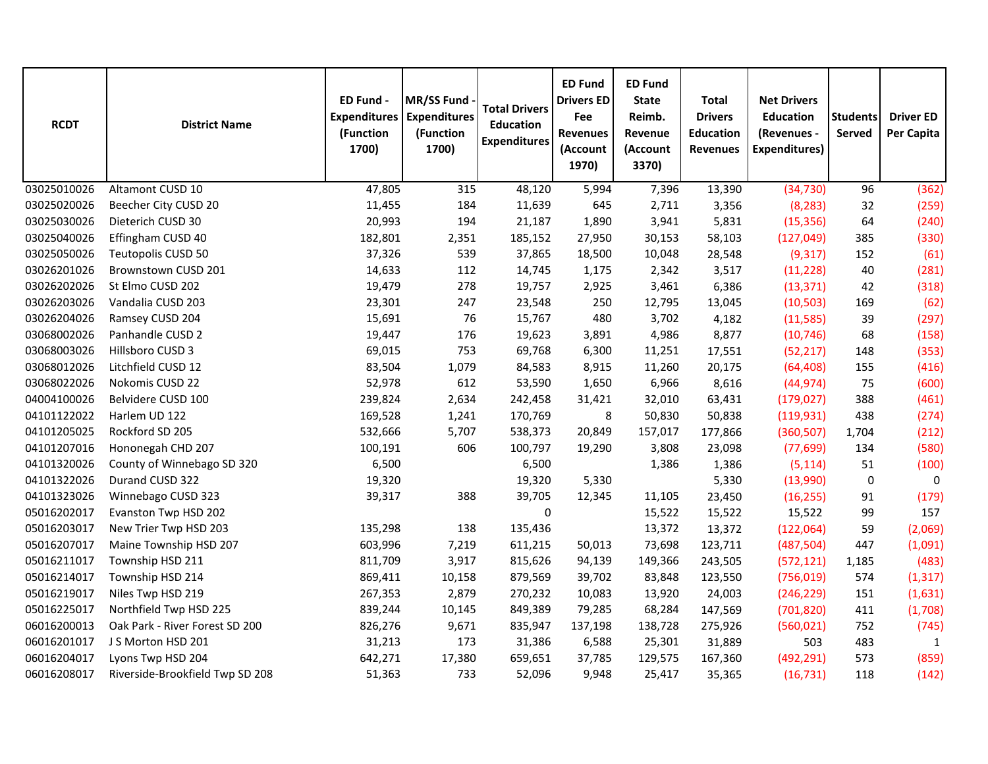| <b>RCDT</b> | <b>District Name</b>            | ED Fund -<br><b>Expenditures</b><br>(Function<br>1700) | <b>MR/SS Fund</b><br><b>Expenditures</b><br>(Function<br>1700) | <b>Total Drivers</b><br><b>Education</b><br><b>Expenditures</b> | <b>ED Fund</b><br><b>Drivers ED</b><br>Fee<br><b>Revenues</b><br>(Account<br>1970) | <b>ED Fund</b><br><b>State</b><br>Reimb.<br>Revenue<br>(Account<br>3370) | <b>Total</b><br><b>Drivers</b><br><b>Education</b><br><b>Revenues</b> | <b>Net Drivers</b><br><b>Education</b><br>(Revenues -<br><b>Expenditures)</b> | <b>Students</b><br>Served | <b>Driver ED</b><br><b>Per Capita</b> |
|-------------|---------------------------------|--------------------------------------------------------|----------------------------------------------------------------|-----------------------------------------------------------------|------------------------------------------------------------------------------------|--------------------------------------------------------------------------|-----------------------------------------------------------------------|-------------------------------------------------------------------------------|---------------------------|---------------------------------------|
| 03025010026 | Altamont CUSD 10                | 47,805                                                 | 315                                                            | 48,120                                                          | 5,994                                                                              | 7,396                                                                    | 13,390                                                                | (34, 730)                                                                     | 96                        | (362)                                 |
| 03025020026 | Beecher City CUSD 20            | 11,455                                                 | 184                                                            | 11,639                                                          | 645                                                                                | 2,711                                                                    | 3,356                                                                 | (8, 283)                                                                      | 32                        | (259)                                 |
| 03025030026 | Dieterich CUSD 30               | 20,993                                                 | 194                                                            | 21,187                                                          | 1,890                                                                              | 3,941                                                                    | 5,831                                                                 | (15, 356)                                                                     | 64                        | (240)                                 |
| 03025040026 | Effingham CUSD 40               | 182,801                                                | 2,351                                                          | 185,152                                                         | 27,950                                                                             | 30,153                                                                   | 58,103                                                                | (127, 049)                                                                    | 385                       | (330)                                 |
| 03025050026 | Teutopolis CUSD 50              | 37,326                                                 | 539                                                            | 37,865                                                          | 18,500                                                                             | 10,048                                                                   | 28,548                                                                | (9, 317)                                                                      | 152                       | (61)                                  |
| 03026201026 | Brownstown CUSD 201             | 14,633                                                 | 112                                                            | 14,745                                                          | 1,175                                                                              | 2,342                                                                    | 3,517                                                                 | (11, 228)                                                                     | 40                        | (281)                                 |
| 03026202026 | St Elmo CUSD 202                | 19,479                                                 | 278                                                            | 19,757                                                          | 2,925                                                                              | 3,461                                                                    | 6,386                                                                 | (13, 371)                                                                     | 42                        | (318)                                 |
| 03026203026 | Vandalia CUSD 203               | 23,301                                                 | 247                                                            | 23,548                                                          | 250                                                                                | 12,795                                                                   | 13,045                                                                | (10, 503)                                                                     | 169                       | (62)                                  |
| 03026204026 | Ramsey CUSD 204                 | 15,691                                                 | 76                                                             | 15,767                                                          | 480                                                                                | 3,702                                                                    | 4,182                                                                 | (11,585)                                                                      | 39                        | (297)                                 |
| 03068002026 | Panhandle CUSD 2                | 19,447                                                 | 176                                                            | 19,623                                                          | 3,891                                                                              | 4,986                                                                    | 8,877                                                                 | (10, 746)                                                                     | 68                        | (158)                                 |
| 03068003026 | Hillsboro CUSD 3                | 69,015                                                 | 753                                                            | 69,768                                                          | 6,300                                                                              | 11,251                                                                   | 17,551                                                                | (52, 217)                                                                     | 148                       | (353)                                 |
| 03068012026 | Litchfield CUSD 12              | 83,504                                                 | 1,079                                                          | 84,583                                                          | 8,915                                                                              | 11,260                                                                   | 20,175                                                                | (64, 408)                                                                     | 155                       | (416)                                 |
| 03068022026 | Nokomis CUSD 22                 | 52,978                                                 | 612                                                            | 53,590                                                          | 1,650                                                                              | 6,966                                                                    | 8,616                                                                 | (44, 974)                                                                     | 75                        | (600)                                 |
| 04004100026 | Belvidere CUSD 100              | 239,824                                                | 2,634                                                          | 242,458                                                         | 31,421                                                                             | 32,010                                                                   | 63,431                                                                | (179, 027)                                                                    | 388                       | (461)                                 |
| 04101122022 | Harlem UD 122                   | 169,528                                                | 1,241                                                          | 170,769                                                         | 8                                                                                  | 50,830                                                                   | 50,838                                                                | (119, 931)                                                                    | 438                       | (274)                                 |
| 04101205025 | Rockford SD 205                 | 532,666                                                | 5,707                                                          | 538,373                                                         | 20,849                                                                             | 157,017                                                                  | 177,866                                                               | (360, 507)                                                                    | 1,704                     | (212)                                 |
| 04101207016 | Hononegah CHD 207               | 100,191                                                | 606                                                            | 100,797                                                         | 19,290                                                                             | 3,808                                                                    | 23,098                                                                | (77, 699)                                                                     | 134                       | (580)                                 |
| 04101320026 | County of Winnebago SD 320      | 6,500                                                  |                                                                | 6,500                                                           |                                                                                    | 1,386                                                                    | 1,386                                                                 | (5, 114)                                                                      | 51                        | (100)                                 |
| 04101322026 | Durand CUSD 322                 | 19,320                                                 |                                                                | 19,320                                                          | 5,330                                                                              |                                                                          | 5,330                                                                 | (13,990)                                                                      | $\pmb{0}$                 | 0                                     |
| 04101323026 | Winnebago CUSD 323              | 39,317                                                 | 388                                                            | 39,705                                                          | 12,345                                                                             | 11,105                                                                   | 23,450                                                                | (16, 255)                                                                     | 91                        | (179)                                 |
| 05016202017 | Evanston Twp HSD 202            |                                                        |                                                                | 0                                                               |                                                                                    | 15,522                                                                   | 15,522                                                                | 15,522                                                                        | 99                        | 157                                   |
| 05016203017 | New Trier Twp HSD 203           | 135,298                                                | 138                                                            | 135,436                                                         |                                                                                    | 13,372                                                                   | 13,372                                                                | (122,064)                                                                     | 59                        | (2,069)                               |
| 05016207017 | Maine Township HSD 207          | 603,996                                                | 7,219                                                          | 611,215                                                         | 50,013                                                                             | 73,698                                                                   | 123,711                                                               | (487, 504)                                                                    | 447                       | (1,091)                               |
| 05016211017 | Township HSD 211                | 811,709                                                | 3,917                                                          | 815,626                                                         | 94,139                                                                             | 149,366                                                                  | 243,505                                                               | (572, 121)                                                                    | 1,185                     | (483)                                 |
| 05016214017 | Township HSD 214                | 869,411                                                | 10,158                                                         | 879,569                                                         | 39,702                                                                             | 83,848                                                                   | 123,550                                                               | (756, 019)                                                                    | 574                       | (1, 317)                              |
| 05016219017 | Niles Twp HSD 219               | 267,353                                                | 2,879                                                          | 270,232                                                         | 10,083                                                                             | 13,920                                                                   | 24,003                                                                | (246, 229)                                                                    | 151                       | (1,631)                               |
| 05016225017 | Northfield Twp HSD 225          | 839,244                                                | 10,145                                                         | 849,389                                                         | 79,285                                                                             | 68,284                                                                   | 147,569                                                               | (701, 820)                                                                    | 411                       | (1,708)                               |
| 06016200013 | Oak Park - River Forest SD 200  | 826,276                                                | 9,671                                                          | 835,947                                                         | 137,198                                                                            | 138,728                                                                  | 275,926                                                               | (560, 021)                                                                    | 752                       | (745)                                 |
| 06016201017 | J S Morton HSD 201              | 31,213                                                 | 173                                                            | 31,386                                                          | 6,588                                                                              | 25,301                                                                   | 31,889                                                                | 503                                                                           | 483                       | $\mathbf{1}$                          |
| 06016204017 | Lyons Twp HSD 204               | 642,271                                                | 17,380                                                         | 659,651                                                         | 37,785                                                                             | 129,575                                                                  | 167,360                                                               | (492, 291)                                                                    | 573                       | (859)                                 |
| 06016208017 | Riverside-Brookfield Twp SD 208 | 51,363                                                 | 733                                                            | 52,096                                                          | 9,948                                                                              | 25,417                                                                   | 35,365                                                                | (16, 731)                                                                     | 118                       | (142)                                 |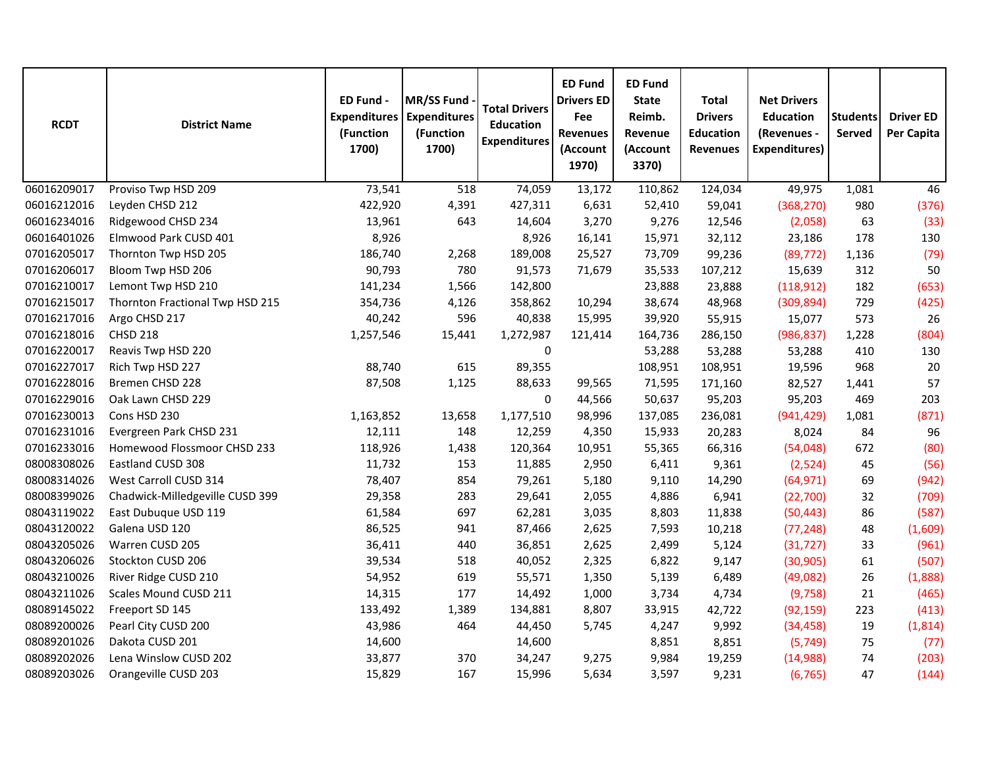| <b>RCDT</b> | <b>District Name</b>            | ED Fund -<br><b>Expenditures</b><br>(Function<br>1700) | <b>MR/SS Fund</b><br><b>Expenditures</b><br>(Function<br>1700) | <b>Total Drivers</b><br><b>Education</b><br><b>Expenditures</b> | <b>ED Fund</b><br><b>Drivers ED</b><br>Fee<br><b>Revenues</b><br>(Account<br>1970) | <b>ED Fund</b><br><b>State</b><br>Reimb.<br>Revenue<br>(Account<br>3370) | <b>Total</b><br><b>Drivers</b><br><b>Education</b><br><b>Revenues</b> | <b>Net Drivers</b><br><b>Education</b><br>(Revenues -<br><b>Expenditures)</b> | <b>Students</b><br>Served | <b>Driver ED</b><br>Per Capita |
|-------------|---------------------------------|--------------------------------------------------------|----------------------------------------------------------------|-----------------------------------------------------------------|------------------------------------------------------------------------------------|--------------------------------------------------------------------------|-----------------------------------------------------------------------|-------------------------------------------------------------------------------|---------------------------|--------------------------------|
| 06016209017 | Proviso Twp HSD 209             | 73,541                                                 | 518                                                            | 74,059                                                          | 13,172                                                                             | 110,862                                                                  | 124,034                                                               | 49,975                                                                        | 1,081                     | 46                             |
| 06016212016 | Leyden CHSD 212                 | 422,920                                                | 4,391                                                          | 427,311                                                         | 6,631                                                                              | 52,410                                                                   | 59,041                                                                | (368, 270)                                                                    | 980                       | (376)                          |
| 06016234016 | Ridgewood CHSD 234              | 13,961                                                 | 643                                                            | 14,604                                                          | 3,270                                                                              | 9,276                                                                    | 12,546                                                                | (2,058)                                                                       | 63                        | (33)                           |
| 06016401026 | Elmwood Park CUSD 401           | 8,926                                                  |                                                                | 8,926                                                           | 16,141                                                                             | 15,971                                                                   | 32,112                                                                | 23,186                                                                        | 178                       | 130                            |
| 07016205017 | Thornton Twp HSD 205            | 186,740                                                | 2,268                                                          | 189,008                                                         | 25,527                                                                             | 73,709                                                                   | 99,236                                                                | (89, 772)                                                                     | 1,136                     | (79)                           |
| 07016206017 | Bloom Twp HSD 206               | 90,793                                                 | 780                                                            | 91,573                                                          | 71,679                                                                             | 35,533                                                                   | 107,212                                                               | 15,639                                                                        | 312                       | 50                             |
| 07016210017 | Lemont Twp HSD 210              | 141,234                                                | 1,566                                                          | 142,800                                                         |                                                                                    | 23,888                                                                   | 23,888                                                                | (118, 912)                                                                    | 182                       | (653)                          |
| 07016215017 | Thornton Fractional Twp HSD 215 | 354,736                                                | 4,126                                                          | 358,862                                                         | 10,294                                                                             | 38,674                                                                   | 48,968                                                                | (309, 894)                                                                    | 729                       | (425)                          |
| 07016217016 | Argo CHSD 217                   | 40,242                                                 | 596                                                            | 40,838                                                          | 15,995                                                                             | 39,920                                                                   | 55,915                                                                | 15,077                                                                        | 573                       | 26                             |
| 07016218016 | <b>CHSD 218</b>                 | 1,257,546                                              | 15,441                                                         | 1,272,987                                                       | 121,414                                                                            | 164,736                                                                  | 286,150                                                               | (986, 837)                                                                    | 1,228                     | (804)                          |
| 07016220017 | Reavis Twp HSD 220              |                                                        |                                                                | 0                                                               |                                                                                    | 53,288                                                                   | 53,288                                                                | 53,288                                                                        | 410                       | 130                            |
| 07016227017 | Rich Twp HSD 227                | 88,740                                                 | 615                                                            | 89,355                                                          |                                                                                    | 108,951                                                                  | 108,951                                                               | 19,596                                                                        | 968                       | 20                             |
| 07016228016 | Bremen CHSD 228                 | 87,508                                                 | 1,125                                                          | 88,633                                                          | 99,565                                                                             | 71,595                                                                   | 171,160                                                               | 82,527                                                                        | 1,441                     | 57                             |
| 07016229016 | Oak Lawn CHSD 229               |                                                        |                                                                | 0                                                               | 44,566                                                                             | 50,637                                                                   | 95,203                                                                | 95,203                                                                        | 469                       | 203                            |
| 07016230013 | Cons HSD 230                    | 1,163,852                                              | 13,658                                                         | 1,177,510                                                       | 98,996                                                                             | 137,085                                                                  | 236,081                                                               | (941, 429)                                                                    | 1,081                     | (871)                          |
| 07016231016 | Evergreen Park CHSD 231         | 12,111                                                 | 148                                                            | 12,259                                                          | 4,350                                                                              | 15,933                                                                   | 20,283                                                                | 8,024                                                                         | 84                        | 96                             |
| 07016233016 | Homewood Flossmoor CHSD 233     | 118,926                                                | 1,438                                                          | 120,364                                                         | 10,951                                                                             | 55,365                                                                   | 66,316                                                                | (54,048)                                                                      | 672                       | (80)                           |
| 08008308026 | Eastland CUSD 308               | 11,732                                                 | 153                                                            | 11,885                                                          | 2,950                                                                              | 6,411                                                                    | 9,361                                                                 | (2,524)                                                                       | 45                        | (56)                           |
| 08008314026 | West Carroll CUSD 314           | 78,407                                                 | 854                                                            | 79,261                                                          | 5,180                                                                              | 9,110                                                                    | 14,290                                                                | (64, 971)                                                                     | 69                        | (942)                          |
| 08008399026 | Chadwick-Milledgeville CUSD 399 | 29,358                                                 | 283                                                            | 29,641                                                          | 2,055                                                                              | 4,886                                                                    | 6,941                                                                 | (22,700)                                                                      | 32                        | (709)                          |
| 08043119022 | East Dubuque USD 119            | 61,584                                                 | 697                                                            | 62,281                                                          | 3,035                                                                              | 8,803                                                                    | 11,838                                                                | (50, 443)                                                                     | 86                        | (587)                          |
| 08043120022 | Galena USD 120                  | 86,525                                                 | 941                                                            | 87,466                                                          | 2,625                                                                              | 7,593                                                                    | 10,218                                                                | (77, 248)                                                                     | 48                        | (1,609)                        |
| 08043205026 | Warren CUSD 205                 | 36,411                                                 | 440                                                            | 36,851                                                          | 2,625                                                                              | 2,499                                                                    | 5,124                                                                 | (31, 727)                                                                     | 33                        | (961)                          |
| 08043206026 | Stockton CUSD 206               | 39,534                                                 | 518                                                            | 40,052                                                          | 2,325                                                                              | 6,822                                                                    | 9,147                                                                 | (30, 905)                                                                     | 61                        | (507)                          |
| 08043210026 | River Ridge CUSD 210            | 54,952                                                 | 619                                                            | 55,571                                                          | 1,350                                                                              | 5,139                                                                    | 6,489                                                                 | (49,082)                                                                      | 26                        | (1,888)                        |
| 08043211026 | Scales Mound CUSD 211           | 14,315                                                 | 177                                                            | 14,492                                                          | 1,000                                                                              | 3,734                                                                    | 4,734                                                                 | (9,758)                                                                       | 21                        | (465)                          |
| 08089145022 | Freeport SD 145                 | 133,492                                                | 1,389                                                          | 134,881                                                         | 8,807                                                                              | 33,915                                                                   | 42,722                                                                | (92, 159)                                                                     | 223                       | (413)                          |
| 08089200026 | Pearl City CUSD 200             | 43,986                                                 | 464                                                            | 44,450                                                          | 5,745                                                                              | 4,247                                                                    | 9,992                                                                 | (34, 458)                                                                     | 19                        | (1,814)                        |
| 08089201026 | Dakota CUSD 201                 | 14,600                                                 |                                                                | 14,600                                                          |                                                                                    | 8,851                                                                    | 8,851                                                                 | (5, 749)                                                                      | 75                        | (77)                           |
| 08089202026 | Lena Winslow CUSD 202           | 33,877                                                 | 370                                                            | 34,247                                                          | 9,275                                                                              | 9,984                                                                    | 19,259                                                                | (14,988)                                                                      | 74                        | (203)                          |
| 08089203026 | Orangeville CUSD 203            | 15,829                                                 | 167                                                            | 15,996                                                          | 5,634                                                                              | 3,597                                                                    | 9,231                                                                 | (6, 765)                                                                      | 47                        | (144)                          |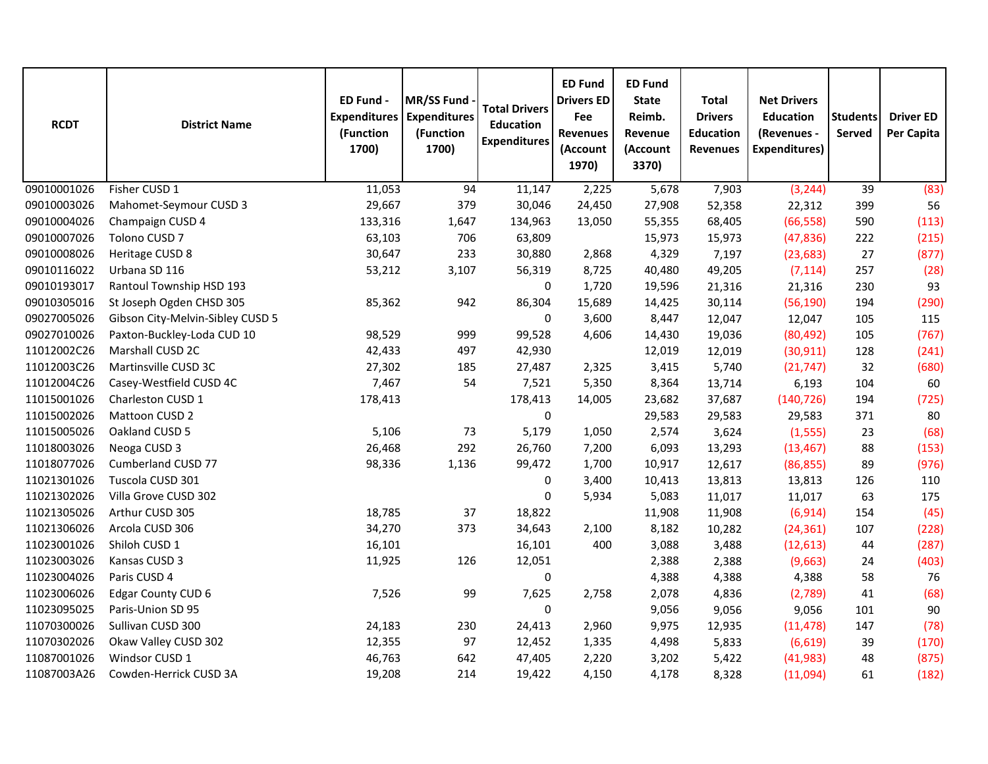| <b>RCDT</b> | <b>District Name</b>             | ED Fund -<br><b>Expenditures</b><br>(Function<br>1700) | MR/SS Fund<br><b>Expenditures</b><br>(Function<br>1700) | <b>Total Drivers</b><br><b>Education</b><br><b>Expenditures</b> | <b>ED Fund</b><br><b>Drivers ED</b><br>Fee<br><b>Revenues</b><br>(Account<br>1970) | <b>ED Fund</b><br><b>State</b><br>Reimb.<br>Revenue<br>(Account<br>3370) | <b>Total</b><br><b>Drivers</b><br><b>Education</b><br><b>Revenues</b> | <b>Net Drivers</b><br><b>Education</b><br>(Revenues -<br><b>Expenditures)</b> | <b>Students</b><br>Served | <b>Driver ED</b><br>Per Capita |
|-------------|----------------------------------|--------------------------------------------------------|---------------------------------------------------------|-----------------------------------------------------------------|------------------------------------------------------------------------------------|--------------------------------------------------------------------------|-----------------------------------------------------------------------|-------------------------------------------------------------------------------|---------------------------|--------------------------------|
| 09010001026 | Fisher CUSD 1                    | 11,053                                                 | 94                                                      | 11,147                                                          | 2,225                                                                              | 5,678                                                                    | 7,903                                                                 | (3, 244)                                                                      | 39                        | (83)                           |
| 09010003026 | Mahomet-Seymour CUSD 3           | 29,667                                                 | 379                                                     | 30,046                                                          | 24,450                                                                             | 27,908                                                                   | 52,358                                                                | 22,312                                                                        | 399                       | 56                             |
| 09010004026 | Champaign CUSD 4                 | 133,316                                                | 1,647                                                   | 134,963                                                         | 13,050                                                                             | 55,355                                                                   | 68,405                                                                | (66, 558)                                                                     | 590                       | (113)                          |
| 09010007026 | Tolono CUSD 7                    | 63,103                                                 | 706                                                     | 63,809                                                          |                                                                                    | 15,973                                                                   | 15,973                                                                | (47, 836)                                                                     | 222                       | (215)                          |
| 09010008026 | Heritage CUSD 8                  | 30,647                                                 | 233                                                     | 30,880                                                          | 2,868                                                                              | 4,329                                                                    | 7,197                                                                 | (23, 683)                                                                     | 27                        | (877)                          |
| 09010116022 | Urbana SD 116                    | 53,212                                                 | 3,107                                                   | 56,319                                                          | 8,725                                                                              | 40,480                                                                   | 49,205                                                                | (7, 114)                                                                      | 257                       | (28)                           |
| 09010193017 | Rantoul Township HSD 193         |                                                        |                                                         | $\pmb{0}$                                                       | 1,720                                                                              | 19,596                                                                   | 21,316                                                                | 21,316                                                                        | 230                       | 93                             |
| 09010305016 | St Joseph Ogden CHSD 305         | 85,362                                                 | 942                                                     | 86,304                                                          | 15,689                                                                             | 14,425                                                                   | 30,114                                                                | (56, 190)                                                                     | 194                       | (290)                          |
| 09027005026 | Gibson City-Melvin-Sibley CUSD 5 |                                                        |                                                         | 0                                                               | 3,600                                                                              | 8,447                                                                    | 12,047                                                                | 12,047                                                                        | 105                       | 115                            |
| 09027010026 | Paxton-Buckley-Loda CUD 10       | 98,529                                                 | 999                                                     | 99,528                                                          | 4,606                                                                              | 14,430                                                                   | 19,036                                                                | (80, 492)                                                                     | 105                       | (767)                          |
| 11012002C26 | Marshall CUSD 2C                 | 42,433                                                 | 497                                                     | 42,930                                                          |                                                                                    | 12,019                                                                   | 12,019                                                                | (30, 911)                                                                     | 128                       | (241)                          |
| 11012003C26 | Martinsville CUSD 3C             | 27,302                                                 | 185                                                     | 27,487                                                          | 2,325                                                                              | 3,415                                                                    | 5,740                                                                 | (21, 747)                                                                     | 32                        | (680)                          |
| 11012004C26 | Casey-Westfield CUSD 4C          | 7,467                                                  | 54                                                      | 7,521                                                           | 5,350                                                                              | 8,364                                                                    | 13,714                                                                | 6,193                                                                         | 104                       | 60                             |
| 11015001026 | Charleston CUSD 1                | 178,413                                                |                                                         | 178,413                                                         | 14,005                                                                             | 23,682                                                                   | 37,687                                                                | (140, 726)                                                                    | 194                       | (725)                          |
| 11015002026 | Mattoon CUSD 2                   |                                                        |                                                         | 0                                                               |                                                                                    | 29,583                                                                   | 29,583                                                                | 29,583                                                                        | 371                       | 80                             |
| 11015005026 | Oakland CUSD 5                   | 5,106                                                  | 73                                                      | 5,179                                                           | 1,050                                                                              | 2,574                                                                    | 3,624                                                                 | (1, 555)                                                                      | 23                        | (68)                           |
| 11018003026 | Neoga CUSD 3                     | 26,468                                                 | 292                                                     | 26,760                                                          | 7,200                                                                              | 6,093                                                                    | 13,293                                                                | (13, 467)                                                                     | 88                        | (153)                          |
| 11018077026 | Cumberland CUSD 77               | 98,336                                                 | 1,136                                                   | 99,472                                                          | 1,700                                                                              | 10,917                                                                   | 12,617                                                                | (86, 855)                                                                     | 89                        | (976)                          |
| 11021301026 | Tuscola CUSD 301                 |                                                        |                                                         | 0                                                               | 3,400                                                                              | 10,413                                                                   | 13,813                                                                | 13,813                                                                        | 126                       | 110                            |
| 11021302026 | Villa Grove CUSD 302             |                                                        |                                                         | 0                                                               | 5,934                                                                              | 5,083                                                                    | 11,017                                                                | 11,017                                                                        | 63                        | 175                            |
| 11021305026 | Arthur CUSD 305                  | 18,785                                                 | 37                                                      | 18,822                                                          |                                                                                    | 11,908                                                                   | 11,908                                                                | (6, 914)                                                                      | 154                       | (45)                           |
| 11021306026 | Arcola CUSD 306                  | 34,270                                                 | 373                                                     | 34,643                                                          | 2,100                                                                              | 8,182                                                                    | 10,282                                                                | (24, 361)                                                                     | 107                       | (228)                          |
| 11023001026 | Shiloh CUSD 1                    | 16,101                                                 |                                                         | 16,101                                                          | 400                                                                                | 3,088                                                                    | 3,488                                                                 | (12, 613)                                                                     | 44                        | (287)                          |
| 11023003026 | Kansas CUSD 3                    | 11,925                                                 | 126                                                     | 12,051                                                          |                                                                                    | 2,388                                                                    | 2,388                                                                 | (9,663)                                                                       | 24                        | (403)                          |
| 11023004026 | Paris CUSD 4                     |                                                        |                                                         | $\pmb{0}$                                                       |                                                                                    | 4,388                                                                    | 4,388                                                                 | 4,388                                                                         | 58                        | 76                             |
| 11023006026 | Edgar County CUD 6               | 7,526                                                  | 99                                                      | 7,625                                                           | 2,758                                                                              | 2,078                                                                    | 4,836                                                                 | (2,789)                                                                       | 41                        | (68)                           |
| 11023095025 | Paris-Union SD 95                |                                                        |                                                         | $\pmb{0}$                                                       |                                                                                    | 9,056                                                                    | 9,056                                                                 | 9,056                                                                         | 101                       | 90                             |
| 11070300026 | Sullivan CUSD 300                | 24,183                                                 | 230                                                     | 24,413                                                          | 2,960                                                                              | 9,975                                                                    | 12,935                                                                | (11, 478)                                                                     | 147                       | (78)                           |
| 11070302026 | Okaw Valley CUSD 302             | 12,355                                                 | 97                                                      | 12,452                                                          | 1,335                                                                              | 4,498                                                                    | 5,833                                                                 | (6,619)                                                                       | 39                        | (170)                          |
| 11087001026 | Windsor CUSD 1                   | 46,763                                                 | 642                                                     | 47,405                                                          | 2,220                                                                              | 3,202                                                                    | 5,422                                                                 | (41, 983)                                                                     | 48                        | (875)                          |
| 11087003A26 | Cowden-Herrick CUSD 3A           | 19,208                                                 | 214                                                     | 19,422                                                          | 4,150                                                                              | 4,178                                                                    | 8,328                                                                 | (11,094)                                                                      | 61                        | (182)                          |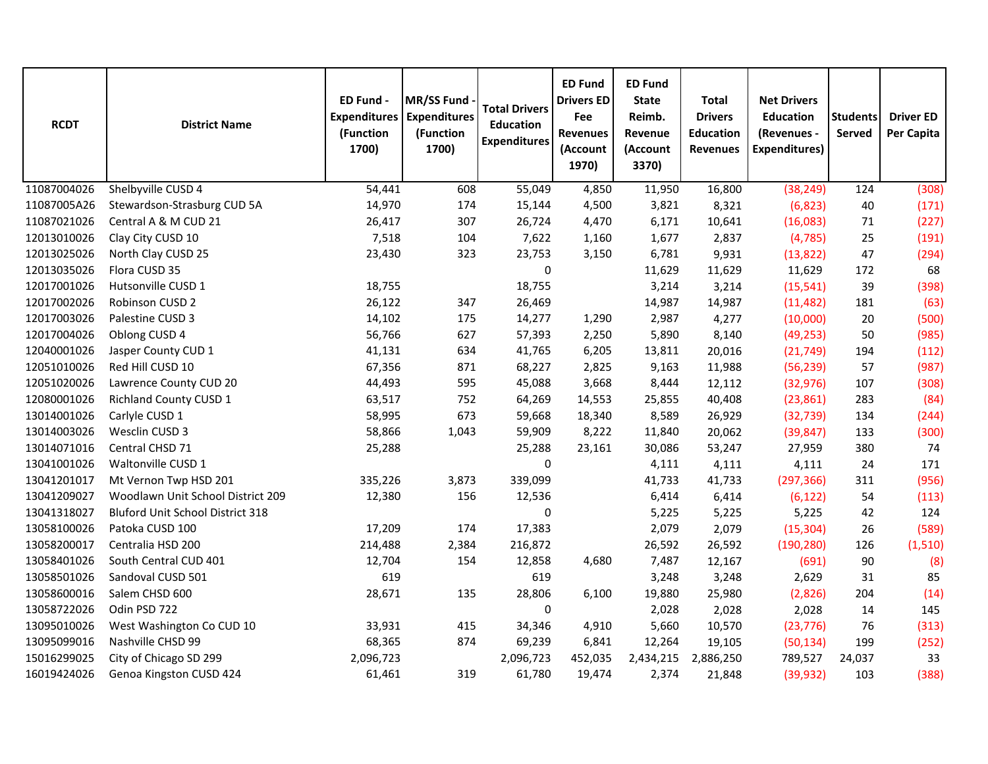| <b>RCDT</b> | <b>District Name</b>              | ED Fund -<br><b>Expenditures</b><br>(Function<br>1700) | MR/SS Fund<br><b>Expenditures</b><br>(Function<br>1700) | <b>Total Drivers</b><br><b>Education</b><br><b>Expenditures</b> | <b>ED Fund</b><br><b>Drivers ED</b><br>Fee<br><b>Revenues</b><br>(Account<br>1970) | <b>ED Fund</b><br><b>State</b><br>Reimb.<br>Revenue<br>(Account<br>3370) | <b>Total</b><br><b>Drivers</b><br><b>Education</b><br><b>Revenues</b> | <b>Net Drivers</b><br><b>Education</b><br>(Revenues -<br><b>Expenditures)</b> | <b>Students</b><br>Served | <b>Driver ED</b><br>Per Capita |
|-------------|-----------------------------------|--------------------------------------------------------|---------------------------------------------------------|-----------------------------------------------------------------|------------------------------------------------------------------------------------|--------------------------------------------------------------------------|-----------------------------------------------------------------------|-------------------------------------------------------------------------------|---------------------------|--------------------------------|
| 11087004026 | Shelbyville CUSD 4                | 54,441                                                 | 608                                                     | 55,049                                                          | 4,850                                                                              | 11,950                                                                   | 16,800                                                                | (38, 249)                                                                     | 124                       | (308)                          |
| 11087005A26 | Stewardson-Strasburg CUD 5A       | 14,970                                                 | 174                                                     | 15,144                                                          | 4,500                                                                              | 3,821                                                                    | 8,321                                                                 | (6, 823)                                                                      | 40                        | (171)                          |
| 11087021026 | Central A & M CUD 21              | 26,417                                                 | 307                                                     | 26,724                                                          | 4,470                                                                              | 6,171                                                                    | 10,641                                                                | (16,083)                                                                      | $71\,$                    | (227)                          |
| 12013010026 | Clay City CUSD 10                 | 7,518                                                  | 104                                                     | 7,622                                                           | 1,160                                                                              | 1,677                                                                    | 2,837                                                                 | (4, 785)                                                                      | 25                        | (191)                          |
| 12013025026 | North Clay CUSD 25                | 23,430                                                 | 323                                                     | 23,753                                                          | 3,150                                                                              | 6,781                                                                    | 9,931                                                                 | (13, 822)                                                                     | 47                        | (294)                          |
| 12013035026 | Flora CUSD 35                     |                                                        |                                                         | $\pmb{0}$                                                       |                                                                                    | 11,629                                                                   | 11,629                                                                | 11,629                                                                        | 172                       | 68                             |
| 12017001026 | Hutsonville CUSD 1                | 18,755                                                 |                                                         | 18,755                                                          |                                                                                    | 3,214                                                                    | 3,214                                                                 | (15, 541)                                                                     | 39                        | (398)                          |
| 12017002026 | Robinson CUSD 2                   | 26,122                                                 | 347                                                     | 26,469                                                          |                                                                                    | 14,987                                                                   | 14,987                                                                | (11, 482)                                                                     | 181                       | (63)                           |
| 12017003026 | Palestine CUSD 3                  | 14,102                                                 | 175                                                     | 14,277                                                          | 1,290                                                                              | 2,987                                                                    | 4,277                                                                 | (10,000)                                                                      | 20                        | (500)                          |
| 12017004026 | Oblong CUSD 4                     | 56,766                                                 | 627                                                     | 57,393                                                          | 2,250                                                                              | 5,890                                                                    | 8,140                                                                 | (49, 253)                                                                     | 50                        | (985)                          |
| 12040001026 | Jasper County CUD 1               | 41,131                                                 | 634                                                     | 41,765                                                          | 6,205                                                                              | 13,811                                                                   | 20,016                                                                | (21, 749)                                                                     | 194                       | (112)                          |
| 12051010026 | Red Hill CUSD 10                  | 67,356                                                 | 871                                                     | 68,227                                                          | 2,825                                                                              | 9,163                                                                    | 11,988                                                                | (56, 239)                                                                     | 57                        | (987)                          |
| 12051020026 | Lawrence County CUD 20            | 44,493                                                 | 595                                                     | 45,088                                                          | 3,668                                                                              | 8,444                                                                    | 12,112                                                                | (32, 976)                                                                     | 107                       | (308)                          |
| 12080001026 | <b>Richland County CUSD 1</b>     | 63,517                                                 | 752                                                     | 64,269                                                          | 14,553                                                                             | 25,855                                                                   | 40,408                                                                | (23, 861)                                                                     | 283                       | (84)                           |
| 13014001026 | Carlyle CUSD 1                    | 58,995                                                 | 673                                                     | 59,668                                                          | 18,340                                                                             | 8,589                                                                    | 26,929                                                                | (32, 739)                                                                     | 134                       | (244)                          |
| 13014003026 | Wesclin CUSD 3                    | 58,866                                                 | 1,043                                                   | 59,909                                                          | 8,222                                                                              | 11,840                                                                   | 20,062                                                                | (39, 847)                                                                     | 133                       | (300)                          |
| 13014071016 | Central CHSD 71                   | 25,288                                                 |                                                         | 25,288                                                          | 23,161                                                                             | 30,086                                                                   | 53,247                                                                | 27,959                                                                        | 380                       | 74                             |
| 13041001026 | Waltonville CUSD 1                |                                                        |                                                         | $\mathbf 0$                                                     |                                                                                    | 4,111                                                                    | 4,111                                                                 | 4,111                                                                         | 24                        | 171                            |
| 13041201017 | Mt Vernon Twp HSD 201             | 335,226                                                | 3,873                                                   | 339,099                                                         |                                                                                    | 41,733                                                                   | 41,733                                                                | (297, 366)                                                                    | 311                       | (956)                          |
| 13041209027 | Woodlawn Unit School District 209 | 12,380                                                 | 156                                                     | 12,536                                                          |                                                                                    | 6,414                                                                    | 6,414                                                                 | (6, 122)                                                                      | 54                        | (113)                          |
| 13041318027 | Bluford Unit School District 318  |                                                        |                                                         | 0                                                               |                                                                                    | 5,225                                                                    | 5,225                                                                 | 5,225                                                                         | 42                        | 124                            |
| 13058100026 | Patoka CUSD 100                   | 17,209                                                 | 174                                                     | 17,383                                                          |                                                                                    | 2,079                                                                    | 2,079                                                                 | (15, 304)                                                                     | 26                        | (589)                          |
| 13058200017 | Centralia HSD 200                 | 214,488                                                | 2,384                                                   | 216,872                                                         |                                                                                    | 26,592                                                                   | 26,592                                                                | (190, 280)                                                                    | 126                       | (1, 510)                       |
| 13058401026 | South Central CUD 401             | 12,704                                                 | 154                                                     | 12,858                                                          | 4,680                                                                              | 7,487                                                                    | 12,167                                                                | (691)                                                                         | 90                        | (8)                            |
| 13058501026 | Sandoval CUSD 501                 | 619                                                    |                                                         | 619                                                             |                                                                                    | 3,248                                                                    | 3,248                                                                 | 2,629                                                                         | 31                        | 85                             |
| 13058600016 | Salem CHSD 600                    | 28,671                                                 | 135                                                     | 28,806                                                          | 6,100                                                                              | 19,880                                                                   | 25,980                                                                | (2,826)                                                                       | 204                       | (14)                           |
| 13058722026 | Odin PSD 722                      |                                                        |                                                         | $\pmb{0}$                                                       |                                                                                    | 2,028                                                                    | 2,028                                                                 | 2,028                                                                         | 14                        | 145                            |
| 13095010026 | West Washington Co CUD 10         | 33,931                                                 | 415                                                     | 34,346                                                          | 4,910                                                                              | 5,660                                                                    | 10,570                                                                | (23, 776)                                                                     | 76                        | (313)                          |
| 13095099016 | Nashville CHSD 99                 | 68,365                                                 | 874                                                     | 69,239                                                          | 6,841                                                                              | 12,264                                                                   | 19,105                                                                | (50, 134)                                                                     | 199                       | (252)                          |
| 15016299025 | City of Chicago SD 299            | 2,096,723                                              |                                                         | 2,096,723                                                       | 452,035                                                                            | 2,434,215                                                                | 2,886,250                                                             | 789,527                                                                       | 24,037                    | 33                             |
| 16019424026 | Genoa Kingston CUSD 424           | 61,461                                                 | 319                                                     | 61,780                                                          | 19,474                                                                             | 2,374                                                                    | 21,848                                                                | (39, 932)                                                                     | 103                       | (388)                          |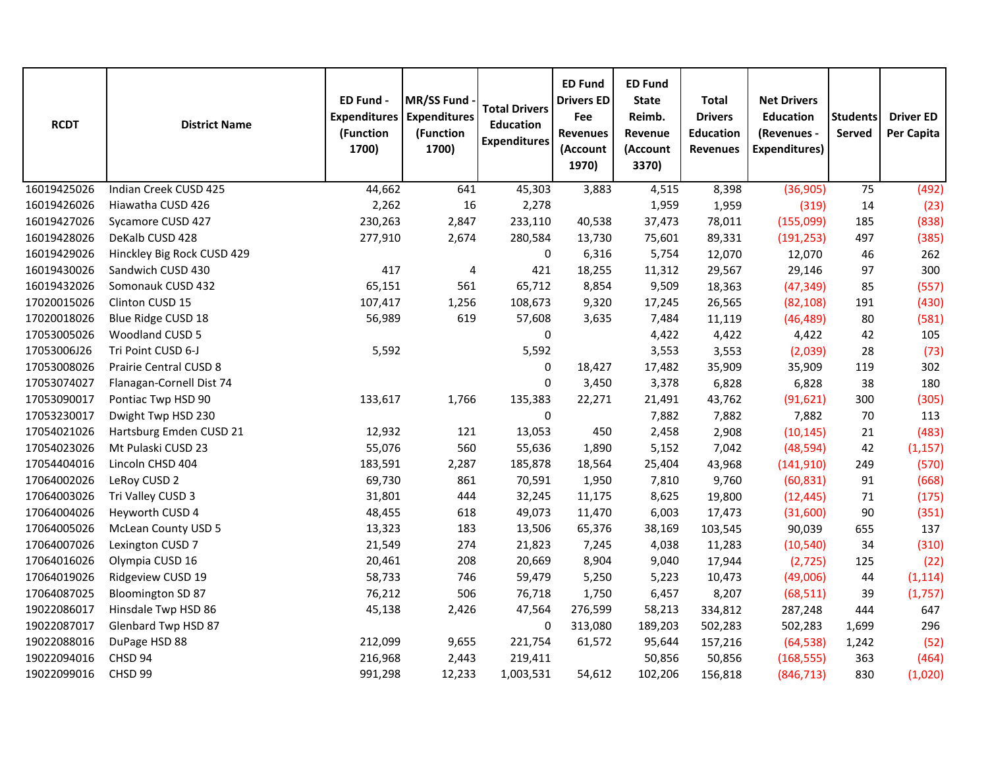| <b>RCDT</b> | <b>District Name</b>       | ED Fund -<br><b>Expenditures</b><br>(Function<br>1700) | MR/SS Fund<br><b>Expenditures</b><br>(Function<br>1700) | <b>Total Drivers</b><br><b>Education</b><br><b>Expenditures</b> | <b>ED Fund</b><br><b>Drivers ED</b><br>Fee<br><b>Revenues</b><br>(Account<br>1970) | <b>ED Fund</b><br><b>State</b><br>Reimb.<br>Revenue<br>(Account<br>3370) | <b>Total</b><br><b>Drivers</b><br><b>Education</b><br><b>Revenues</b> | <b>Net Drivers</b><br><b>Education</b><br>(Revenues -<br><b>Expenditures)</b> | <b>Students</b><br>Served | <b>Driver ED</b><br>Per Capita |
|-------------|----------------------------|--------------------------------------------------------|---------------------------------------------------------|-----------------------------------------------------------------|------------------------------------------------------------------------------------|--------------------------------------------------------------------------|-----------------------------------------------------------------------|-------------------------------------------------------------------------------|---------------------------|--------------------------------|
| 16019425026 | Indian Creek CUSD 425      | 44,662                                                 | 641                                                     | 45,303                                                          | 3,883                                                                              | 4,515                                                                    | 8,398                                                                 | (36,905)                                                                      | 75                        | (492)                          |
| 16019426026 | Hiawatha CUSD 426          | 2,262                                                  | 16                                                      | 2,278                                                           |                                                                                    | 1,959                                                                    | 1,959                                                                 | (319)                                                                         | 14                        | (23)                           |
| 16019427026 | Sycamore CUSD 427          | 230,263                                                | 2,847                                                   | 233,110                                                         | 40,538                                                                             | 37,473                                                                   | 78,011                                                                | (155,099)                                                                     | 185                       | (838)                          |
| 16019428026 | DeKalb CUSD 428            | 277,910                                                | 2,674                                                   | 280,584                                                         | 13,730                                                                             | 75,601                                                                   | 89,331                                                                | (191, 253)                                                                    | 497                       | (385)                          |
| 16019429026 | Hinckley Big Rock CUSD 429 |                                                        |                                                         | 0                                                               | 6,316                                                                              | 5,754                                                                    | 12,070                                                                | 12,070                                                                        | 46                        | 262                            |
| 16019430026 | Sandwich CUSD 430          | 417                                                    | 4                                                       | 421                                                             | 18,255                                                                             | 11,312                                                                   | 29,567                                                                | 29,146                                                                        | 97                        | 300                            |
| 16019432026 | Somonauk CUSD 432          | 65,151                                                 | 561                                                     | 65,712                                                          | 8,854                                                                              | 9,509                                                                    | 18,363                                                                | (47, 349)                                                                     | 85                        | (557)                          |
| 17020015026 | Clinton CUSD 15            | 107,417                                                | 1,256                                                   | 108,673                                                         | 9,320                                                                              | 17,245                                                                   | 26,565                                                                | (82, 108)                                                                     | 191                       | (430)                          |
| 17020018026 | Blue Ridge CUSD 18         | 56,989                                                 | 619                                                     | 57,608                                                          | 3,635                                                                              | 7,484                                                                    | 11,119                                                                | (46, 489)                                                                     | 80                        | (581)                          |
| 17053005026 | Woodland CUSD 5            |                                                        |                                                         | 0                                                               |                                                                                    | 4,422                                                                    | 4,422                                                                 | 4,422                                                                         | 42                        | 105                            |
| 17053006J26 | Tri Point CUSD 6-J         | 5,592                                                  |                                                         | 5,592                                                           |                                                                                    | 3,553                                                                    | 3,553                                                                 | (2,039)                                                                       | 28                        | (73)                           |
| 17053008026 | Prairie Central CUSD 8     |                                                        |                                                         | 0                                                               | 18,427                                                                             | 17,482                                                                   | 35,909                                                                | 35,909                                                                        | 119                       | 302                            |
| 17053074027 | Flanagan-Cornell Dist 74   |                                                        |                                                         | 0                                                               | 3,450                                                                              | 3,378                                                                    | 6,828                                                                 | 6,828                                                                         | 38                        | 180                            |
| 17053090017 | Pontiac Twp HSD 90         | 133,617                                                | 1,766                                                   | 135,383                                                         | 22,271                                                                             | 21,491                                                                   | 43,762                                                                | (91, 621)                                                                     | 300                       | (305)                          |
| 17053230017 | Dwight Twp HSD 230         |                                                        |                                                         | $\pmb{0}$                                                       |                                                                                    | 7,882                                                                    | 7,882                                                                 | 7,882                                                                         | 70                        | 113                            |
| 17054021026 | Hartsburg Emden CUSD 21    | 12,932                                                 | 121                                                     | 13,053                                                          | 450                                                                                | 2,458                                                                    | 2,908                                                                 | (10, 145)                                                                     | 21                        | (483)                          |
| 17054023026 | Mt Pulaski CUSD 23         | 55,076                                                 | 560                                                     | 55,636                                                          | 1,890                                                                              | 5,152                                                                    | 7,042                                                                 | (48, 594)                                                                     | 42                        | (1, 157)                       |
| 17054404016 | Lincoln CHSD 404           | 183,591                                                | 2,287                                                   | 185,878                                                         | 18,564                                                                             | 25,404                                                                   | 43,968                                                                | (141, 910)                                                                    | 249                       | (570)                          |
| 17064002026 | LeRoy CUSD 2               | 69,730                                                 | 861                                                     | 70,591                                                          | 1,950                                                                              | 7,810                                                                    | 9,760                                                                 | (60, 831)                                                                     | 91                        | (668)                          |
| 17064003026 | Tri Valley CUSD 3          | 31,801                                                 | 444                                                     | 32,245                                                          | 11,175                                                                             | 8,625                                                                    | 19,800                                                                | (12, 445)                                                                     | 71                        | (175)                          |
| 17064004026 | Heyworth CUSD 4            | 48,455                                                 | 618                                                     | 49,073                                                          | 11,470                                                                             | 6,003                                                                    | 17,473                                                                | (31,600)                                                                      | 90                        | (351)                          |
| 17064005026 | McLean County USD 5        | 13,323                                                 | 183                                                     | 13,506                                                          | 65,376                                                                             | 38,169                                                                   | 103,545                                                               | 90,039                                                                        | 655                       | 137                            |
| 17064007026 | Lexington CUSD 7           | 21,549                                                 | 274                                                     | 21,823                                                          | 7,245                                                                              | 4,038                                                                    | 11,283                                                                | (10, 540)                                                                     | 34                        | (310)                          |
| 17064016026 | Olympia CUSD 16            | 20,461                                                 | 208                                                     | 20,669                                                          | 8,904                                                                              | 9,040                                                                    | 17,944                                                                | (2, 725)                                                                      | 125                       | (22)                           |
| 17064019026 | Ridgeview CUSD 19          | 58,733                                                 | 746                                                     | 59,479                                                          | 5,250                                                                              | 5,223                                                                    | 10,473                                                                | (49,006)                                                                      | 44                        | (1, 114)                       |
| 17064087025 | <b>Bloomington SD 87</b>   | 76,212                                                 | 506                                                     | 76,718                                                          | 1,750                                                                              | 6,457                                                                    | 8,207                                                                 | (68, 511)                                                                     | 39                        | (1,757)                        |
| 19022086017 | Hinsdale Twp HSD 86        | 45,138                                                 | 2,426                                                   | 47,564                                                          | 276,599                                                                            | 58,213                                                                   | 334,812                                                               | 287,248                                                                       | 444                       | 647                            |
| 19022087017 | Glenbard Twp HSD 87        |                                                        |                                                         | 0                                                               | 313,080                                                                            | 189,203                                                                  | 502,283                                                               | 502,283                                                                       | 1,699                     | 296                            |
| 19022088016 | DuPage HSD 88              | 212,099                                                | 9,655                                                   | 221,754                                                         | 61,572                                                                             | 95,644                                                                   | 157,216                                                               | (64, 538)                                                                     | 1,242                     | (52)                           |
| 19022094016 | CHSD 94                    | 216,968                                                | 2,443                                                   | 219,411                                                         |                                                                                    | 50,856                                                                   | 50,856                                                                | (168, 555)                                                                    | 363                       | (464)                          |
| 19022099016 | CHSD 99                    | 991,298                                                | 12,233                                                  | 1,003,531                                                       | 54,612                                                                             | 102,206                                                                  | 156,818                                                               | (846, 713)                                                                    | 830                       | (1,020)                        |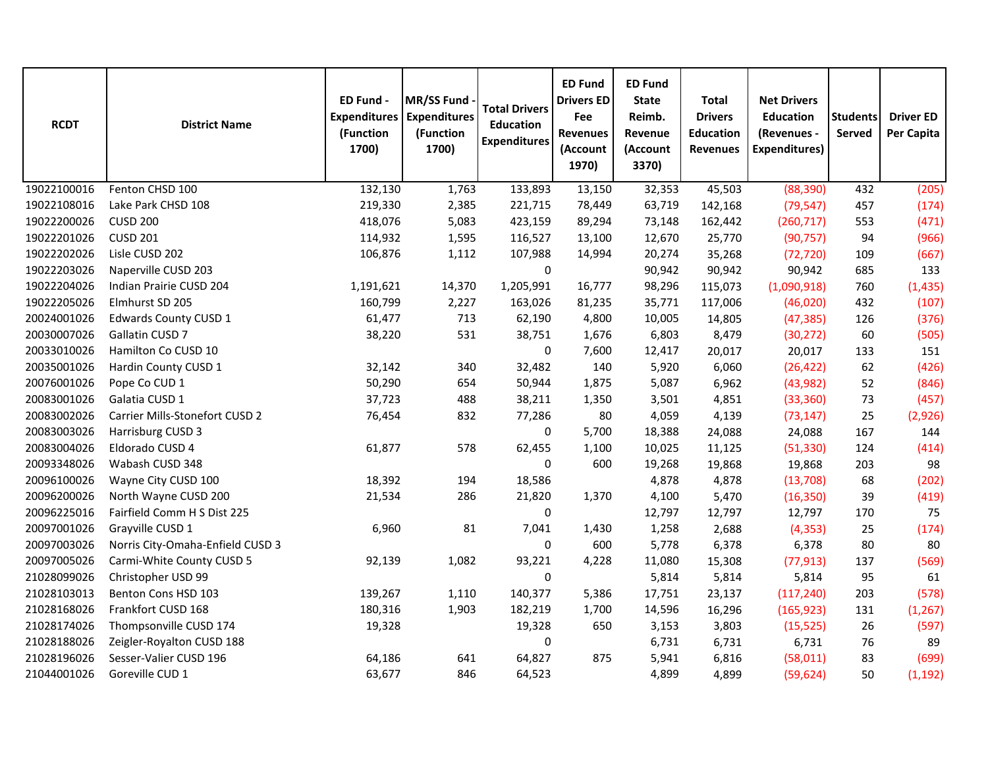| <b>RCDT</b> | <b>District Name</b>             | ED Fund -<br><b>Expenditures</b><br>(Function<br>1700) | <b>MR/SS Fund</b><br><b>Expenditures</b><br>(Function<br>1700) | <b>Total Drivers</b><br><b>Education</b><br><b>Expenditures</b> | <b>ED Fund</b><br><b>Drivers ED</b><br>Fee<br><b>Revenues</b><br>(Account<br>1970) | <b>ED Fund</b><br><b>State</b><br>Reimb.<br>Revenue<br>(Account<br>3370) | <b>Total</b><br><b>Drivers</b><br><b>Education</b><br><b>Revenues</b> | <b>Net Drivers</b><br><b>Education</b><br>(Revenues -<br><b>Expenditures)</b> | <b>Students</b><br>Served | <b>Driver ED</b><br>Per Capita |
|-------------|----------------------------------|--------------------------------------------------------|----------------------------------------------------------------|-----------------------------------------------------------------|------------------------------------------------------------------------------------|--------------------------------------------------------------------------|-----------------------------------------------------------------------|-------------------------------------------------------------------------------|---------------------------|--------------------------------|
| 19022100016 | Fenton CHSD 100                  | 132,130                                                | 1,763                                                          | 133,893                                                         | 13,150                                                                             | 32,353                                                                   | 45,503                                                                | (88, 390)                                                                     | 432                       | (205)                          |
| 19022108016 | Lake Park CHSD 108               | 219,330                                                | 2,385                                                          | 221,715                                                         | 78,449                                                                             | 63,719                                                                   | 142,168                                                               | (79, 547)                                                                     | 457                       | (174)                          |
| 19022200026 | <b>CUSD 200</b>                  | 418,076                                                | 5,083                                                          | 423,159                                                         | 89,294                                                                             | 73,148                                                                   | 162,442                                                               | (260, 717)                                                                    | 553                       | (471)                          |
| 19022201026 | <b>CUSD 201</b>                  | 114,932                                                | 1,595                                                          | 116,527                                                         | 13,100                                                                             | 12,670                                                                   | 25,770                                                                | (90, 757)                                                                     | 94                        | (966)                          |
| 19022202026 | Lisle CUSD 202                   | 106,876                                                | 1,112                                                          | 107,988                                                         | 14,994                                                                             | 20,274                                                                   | 35,268                                                                | (72, 720)                                                                     | 109                       | (667)                          |
| 19022203026 | Naperville CUSD 203              |                                                        |                                                                | 0                                                               |                                                                                    | 90,942                                                                   | 90,942                                                                | 90,942                                                                        | 685                       | 133                            |
| 19022204026 | Indian Prairie CUSD 204          | 1,191,621                                              | 14,370                                                         | 1,205,991                                                       | 16,777                                                                             | 98,296                                                                   | 115,073                                                               | (1,090,918)                                                                   | 760                       | (1, 435)                       |
| 19022205026 | Elmhurst SD 205                  | 160,799                                                | 2,227                                                          | 163,026                                                         | 81,235                                                                             | 35,771                                                                   | 117,006                                                               | (46, 020)                                                                     | 432                       | (107)                          |
| 20024001026 | <b>Edwards County CUSD 1</b>     | 61,477                                                 | 713                                                            | 62,190                                                          | 4,800                                                                              | 10,005                                                                   | 14,805                                                                | (47, 385)                                                                     | 126                       | (376)                          |
| 20030007026 | Gallatin CUSD 7                  | 38,220                                                 | 531                                                            | 38,751                                                          | 1,676                                                                              | 6,803                                                                    | 8,479                                                                 | (30, 272)                                                                     | 60                        | (505)                          |
| 20033010026 | Hamilton Co CUSD 10              |                                                        |                                                                | $\pmb{0}$                                                       | 7,600                                                                              | 12,417                                                                   | 20,017                                                                | 20,017                                                                        | 133                       | 151                            |
| 20035001026 | Hardin County CUSD 1             | 32,142                                                 | 340                                                            | 32,482                                                          | 140                                                                                | 5,920                                                                    | 6,060                                                                 | (26, 422)                                                                     | 62                        | (426)                          |
| 20076001026 | Pope Co CUD 1                    | 50,290                                                 | 654                                                            | 50,944                                                          | 1,875                                                                              | 5,087                                                                    | 6,962                                                                 | (43, 982)                                                                     | 52                        | (846)                          |
| 20083001026 | Galatia CUSD 1                   | 37,723                                                 | 488                                                            | 38,211                                                          | 1,350                                                                              | 3,501                                                                    | 4,851                                                                 | (33, 360)                                                                     | 73                        | (457)                          |
| 20083002026 | Carrier Mills-Stonefort CUSD 2   | 76,454                                                 | 832                                                            | 77,286                                                          | 80                                                                                 | 4,059                                                                    | 4,139                                                                 | (73, 147)                                                                     | 25                        | (2,926)                        |
| 20083003026 | Harrisburg CUSD 3                |                                                        |                                                                | 0                                                               | 5,700                                                                              | 18,388                                                                   | 24,088                                                                | 24,088                                                                        | 167                       | 144                            |
| 20083004026 | Eldorado CUSD 4                  | 61,877                                                 | 578                                                            | 62,455                                                          | 1,100                                                                              | 10,025                                                                   | 11,125                                                                | (51, 330)                                                                     | 124                       | (414)                          |
| 20093348026 | Wabash CUSD 348                  |                                                        |                                                                | 0                                                               | 600                                                                                | 19,268                                                                   | 19,868                                                                | 19,868                                                                        | 203                       | 98                             |
| 20096100026 | Wayne City CUSD 100              | 18,392                                                 | 194                                                            | 18,586                                                          |                                                                                    | 4,878                                                                    | 4,878                                                                 | (13,708)                                                                      | 68                        | (202)                          |
| 20096200026 | North Wayne CUSD 200             | 21,534                                                 | 286                                                            | 21,820                                                          | 1,370                                                                              | 4,100                                                                    | 5,470                                                                 | (16, 350)                                                                     | 39                        | (419)                          |
| 20096225016 | Fairfield Comm H S Dist 225      |                                                        |                                                                | 0                                                               |                                                                                    | 12,797                                                                   | 12,797                                                                | 12,797                                                                        | 170                       | 75                             |
| 20097001026 | Grayville CUSD 1                 | 6,960                                                  | 81                                                             | 7,041                                                           | 1,430                                                                              | 1,258                                                                    | 2,688                                                                 | (4, 353)                                                                      | 25                        | (174)                          |
| 20097003026 | Norris City-Omaha-Enfield CUSD 3 |                                                        |                                                                | 0                                                               | 600                                                                                | 5,778                                                                    | 6,378                                                                 | 6,378                                                                         | 80                        | 80                             |
| 20097005026 | Carmi-White County CUSD 5        | 92,139                                                 | 1,082                                                          | 93,221                                                          | 4,228                                                                              | 11,080                                                                   | 15,308                                                                | (77, 913)                                                                     | 137                       | (569)                          |
| 21028099026 | Christopher USD 99               |                                                        |                                                                | 0                                                               |                                                                                    | 5,814                                                                    | 5,814                                                                 | 5,814                                                                         | 95                        | 61                             |
| 21028103013 | Benton Cons HSD 103              | 139,267                                                | 1,110                                                          | 140,377                                                         | 5,386                                                                              | 17,751                                                                   | 23,137                                                                | (117, 240)                                                                    | 203                       | (578)                          |
| 21028168026 | Frankfort CUSD 168               | 180,316                                                | 1,903                                                          | 182,219                                                         | 1,700                                                                              | 14,596                                                                   | 16,296                                                                | (165, 923)                                                                    | 131                       | (1, 267)                       |
| 21028174026 | Thompsonville CUSD 174           | 19,328                                                 |                                                                | 19,328                                                          | 650                                                                                | 3,153                                                                    | 3,803                                                                 | (15, 525)                                                                     | 26                        | (597)                          |
| 21028188026 | Zeigler-Royalton CUSD 188        |                                                        |                                                                | 0                                                               |                                                                                    | 6,731                                                                    | 6,731                                                                 | 6,731                                                                         | 76                        | 89                             |
| 21028196026 | Sesser-Valier CUSD 196           | 64,186                                                 | 641                                                            | 64,827                                                          | 875                                                                                | 5,941                                                                    | 6,816                                                                 | (58, 011)                                                                     | 83                        | (699)                          |
| 21044001026 | Goreville CUD 1                  | 63,677                                                 | 846                                                            | 64,523                                                          |                                                                                    | 4,899                                                                    | 4,899                                                                 | (59, 624)                                                                     | 50                        | (1, 192)                       |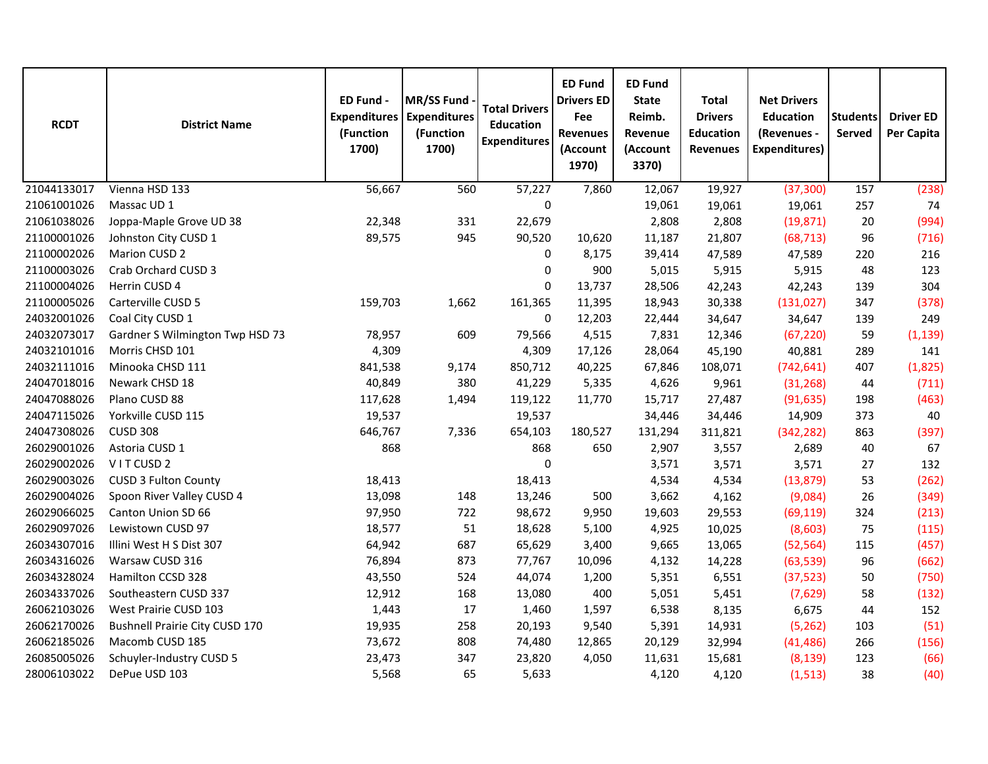| <b>RCDT</b> | <b>District Name</b>            | ED Fund -<br><b>Expenditures</b><br>(Function<br>1700) | MR/SS Fund<br><b>Expenditures</b><br>(Function<br>1700) | <b>Total Drivers</b><br><b>Education</b><br><b>Expenditures</b> | <b>ED Fund</b><br><b>Drivers ED</b><br>Fee<br><b>Revenues</b><br>(Account<br>1970) | <b>ED Fund</b><br><b>State</b><br>Reimb.<br>Revenue<br>(Account<br>3370) | <b>Total</b><br><b>Drivers</b><br><b>Education</b><br><b>Revenues</b> | <b>Net Drivers</b><br><b>Education</b><br>(Revenues -<br><b>Expenditures)</b> | <b>Students</b><br>Served | <b>Driver ED</b><br>Per Capita |
|-------------|---------------------------------|--------------------------------------------------------|---------------------------------------------------------|-----------------------------------------------------------------|------------------------------------------------------------------------------------|--------------------------------------------------------------------------|-----------------------------------------------------------------------|-------------------------------------------------------------------------------|---------------------------|--------------------------------|
| 21044133017 | Vienna HSD 133                  | 56,667                                                 | 560                                                     | 57,227                                                          | 7,860                                                                              | 12,067                                                                   | 19,927                                                                | (37, 300)                                                                     | 157                       | (238)                          |
| 21061001026 | Massac UD 1                     |                                                        |                                                         | $\mathbf 0$                                                     |                                                                                    | 19,061                                                                   | 19,061                                                                | 19,061                                                                        | 257                       | 74                             |
| 21061038026 | Joppa-Maple Grove UD 38         | 22,348                                                 | 331                                                     | 22,679                                                          |                                                                                    | 2,808                                                                    | 2,808                                                                 | (19, 871)                                                                     | 20                        | (994)                          |
| 21100001026 | Johnston City CUSD 1            | 89,575                                                 | 945                                                     | 90,520                                                          | 10,620                                                                             | 11,187                                                                   | 21,807                                                                | (68, 713)                                                                     | 96                        | (716)                          |
| 21100002026 | Marion CUSD 2                   |                                                        |                                                         | $\pmb{0}$                                                       | 8,175                                                                              | 39,414                                                                   | 47,589                                                                | 47,589                                                                        | 220                       | 216                            |
| 21100003026 | Crab Orchard CUSD 3             |                                                        |                                                         | 0                                                               | 900                                                                                | 5,015                                                                    | 5,915                                                                 | 5,915                                                                         | 48                        | 123                            |
| 21100004026 | Herrin CUSD 4                   |                                                        |                                                         | $\mathbf 0$                                                     | 13,737                                                                             | 28,506                                                                   | 42,243                                                                | 42,243                                                                        | 139                       | 304                            |
| 21100005026 | Carterville CUSD 5              | 159,703                                                | 1,662                                                   | 161,365                                                         | 11,395                                                                             | 18,943                                                                   | 30,338                                                                | (131, 027)                                                                    | 347                       | (378)                          |
| 24032001026 | Coal City CUSD 1                |                                                        |                                                         | $\mathbf 0$                                                     | 12,203                                                                             | 22,444                                                                   | 34,647                                                                | 34,647                                                                        | 139                       | 249                            |
| 24032073017 | Gardner S Wilmington Twp HSD 73 | 78,957                                                 | 609                                                     | 79,566                                                          | 4,515                                                                              | 7,831                                                                    | 12,346                                                                | (67, 220)                                                                     | 59                        | (1, 139)                       |
| 24032101016 | Morris CHSD 101                 | 4,309                                                  |                                                         | 4,309                                                           | 17,126                                                                             | 28,064                                                                   | 45,190                                                                | 40,881                                                                        | 289                       | 141                            |
| 24032111016 | Minooka CHSD 111                | 841,538                                                | 9,174                                                   | 850,712                                                         | 40,225                                                                             | 67,846                                                                   | 108,071                                                               | (742, 641)                                                                    | 407                       | (1,825)                        |
| 24047018016 | Newark CHSD 18                  | 40,849                                                 | 380                                                     | 41,229                                                          | 5,335                                                                              | 4,626                                                                    | 9,961                                                                 | (31, 268)                                                                     | 44                        | (711)                          |
| 24047088026 | Plano CUSD 88                   | 117,628                                                | 1,494                                                   | 119,122                                                         | 11,770                                                                             | 15,717                                                                   | 27,487                                                                | (91, 635)                                                                     | 198                       | (463)                          |
| 24047115026 | Yorkville CUSD 115              | 19,537                                                 |                                                         | 19,537                                                          |                                                                                    | 34,446                                                                   | 34,446                                                                | 14,909                                                                        | 373                       | 40                             |
| 24047308026 | <b>CUSD 308</b>                 | 646,767                                                | 7,336                                                   | 654,103                                                         | 180,527                                                                            | 131,294                                                                  | 311,821                                                               | (342, 282)                                                                    | 863                       | (397)                          |
| 26029001026 | Astoria CUSD 1                  | 868                                                    |                                                         | 868                                                             | 650                                                                                | 2,907                                                                    | 3,557                                                                 | 2,689                                                                         | 40                        | 67                             |
| 26029002026 | VITCUSD <sub>2</sub>            |                                                        |                                                         | 0                                                               |                                                                                    | 3,571                                                                    | 3,571                                                                 | 3,571                                                                         | 27                        | 132                            |
| 26029003026 | <b>CUSD 3 Fulton County</b>     | 18,413                                                 |                                                         | 18,413                                                          |                                                                                    | 4,534                                                                    | 4,534                                                                 | (13, 879)                                                                     | 53                        | (262)                          |
| 26029004026 | Spoon River Valley CUSD 4       | 13,098                                                 | 148                                                     | 13,246                                                          | 500                                                                                | 3,662                                                                    | 4,162                                                                 | (9,084)                                                                       | 26                        | (349)                          |
| 26029066025 | Canton Union SD 66              | 97,950                                                 | 722                                                     | 98,672                                                          | 9,950                                                                              | 19,603                                                                   | 29,553                                                                | (69, 119)                                                                     | 324                       | (213)                          |
| 26029097026 | Lewistown CUSD 97               | 18,577                                                 | 51                                                      | 18,628                                                          | 5,100                                                                              | 4,925                                                                    | 10,025                                                                | (8,603)                                                                       | 75                        | (115)                          |
| 26034307016 | Illini West H S Dist 307        | 64,942                                                 | 687                                                     | 65,629                                                          | 3,400                                                                              | 9,665                                                                    | 13,065                                                                | (52, 564)                                                                     | 115                       | (457)                          |
| 26034316026 | Warsaw CUSD 316                 | 76,894                                                 | 873                                                     | 77,767                                                          | 10,096                                                                             | 4,132                                                                    | 14,228                                                                | (63, 539)                                                                     | 96                        | (662)                          |
| 26034328024 | Hamilton CCSD 328               | 43,550                                                 | 524                                                     | 44,074                                                          | 1,200                                                                              | 5,351                                                                    | 6,551                                                                 | (37, 523)                                                                     | 50                        | (750)                          |
| 26034337026 | Southeastern CUSD 337           | 12,912                                                 | 168                                                     | 13,080                                                          | 400                                                                                | 5,051                                                                    | 5,451                                                                 | (7,629)                                                                       | 58                        | (132)                          |
| 26062103026 | West Prairie CUSD 103           | 1,443                                                  | 17                                                      | 1,460                                                           | 1,597                                                                              | 6,538                                                                    | 8,135                                                                 | 6,675                                                                         | 44                        | 152                            |
| 26062170026 | Bushnell Prairie City CUSD 170  | 19,935                                                 | 258                                                     | 20,193                                                          | 9,540                                                                              | 5,391                                                                    | 14,931                                                                | (5, 262)                                                                      | 103                       | (51)                           |
| 26062185026 | Macomb CUSD 185                 | 73,672                                                 | 808                                                     | 74,480                                                          | 12,865                                                                             | 20,129                                                                   | 32,994                                                                | (41, 486)                                                                     | 266                       | (156)                          |
| 26085005026 | Schuyler-Industry CUSD 5        | 23,473                                                 | 347                                                     | 23,820                                                          | 4,050                                                                              | 11,631                                                                   | 15,681                                                                | (8, 139)                                                                      | 123                       | (66)                           |
| 28006103022 | DePue USD 103                   | 5,568                                                  | 65                                                      | 5,633                                                           |                                                                                    | 4,120                                                                    | 4,120                                                                 | (1, 513)                                                                      | 38                        | (40)                           |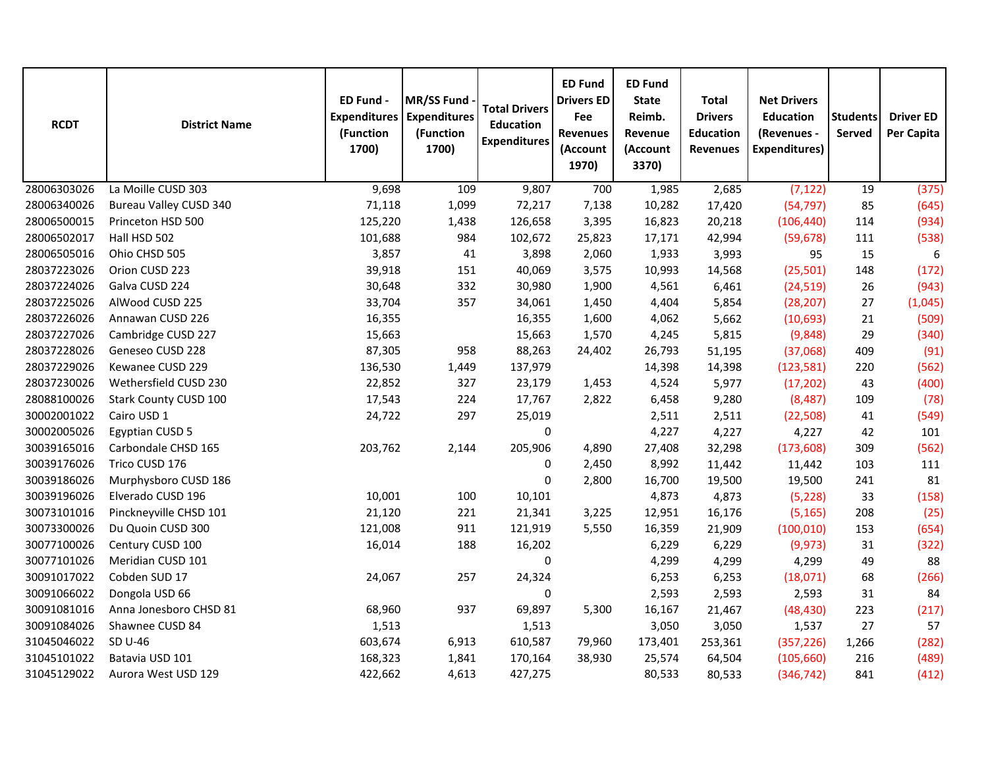| <b>RCDT</b> | <b>District Name</b>          | ED Fund -<br><b>Expenditures</b><br>(Function<br>1700) | MR/SS Fund<br><b>Expenditures</b><br>(Function<br>1700) | <b>Total Drivers</b><br><b>Education</b><br><b>Expenditures</b> | <b>ED Fund</b><br><b>Drivers ED</b><br>Fee<br><b>Revenues</b><br>(Account<br>1970) | <b>ED Fund</b><br><b>State</b><br>Reimb.<br>Revenue<br>(Account<br>3370) | <b>Total</b><br><b>Drivers</b><br><b>Education</b><br><b>Revenues</b> | <b>Net Drivers</b><br><b>Education</b><br>(Revenues -<br><b>Expenditures)</b> | <b>Students</b><br>Served | <b>Driver ED</b><br>Per Capita |
|-------------|-------------------------------|--------------------------------------------------------|---------------------------------------------------------|-----------------------------------------------------------------|------------------------------------------------------------------------------------|--------------------------------------------------------------------------|-----------------------------------------------------------------------|-------------------------------------------------------------------------------|---------------------------|--------------------------------|
| 28006303026 | La Moille CUSD 303            | 9,698                                                  | 109                                                     | 9,807                                                           | 700                                                                                | 1,985                                                                    | 2,685                                                                 | (7, 122)                                                                      | 19                        | (375)                          |
| 28006340026 | <b>Bureau Valley CUSD 340</b> | 71,118                                                 | 1,099                                                   | 72,217                                                          | 7,138                                                                              | 10,282                                                                   | 17,420                                                                | (54, 797)                                                                     | 85                        | (645)                          |
| 28006500015 | Princeton HSD 500             | 125,220                                                | 1,438                                                   | 126,658                                                         | 3,395                                                                              | 16,823                                                                   | 20,218                                                                | (106, 440)                                                                    | 114                       | (934)                          |
| 28006502017 | Hall HSD 502                  | 101,688                                                | 984                                                     | 102,672                                                         | 25,823                                                                             | 17,171                                                                   | 42,994                                                                | (59, 678)                                                                     | 111                       | (538)                          |
| 28006505016 | Ohio CHSD 505                 | 3,857                                                  | 41                                                      | 3,898                                                           | 2,060                                                                              | 1,933                                                                    | 3,993                                                                 | 95                                                                            | 15                        | 6                              |
| 28037223026 | Orion CUSD 223                | 39,918                                                 | 151                                                     | 40,069                                                          | 3,575                                                                              | 10,993                                                                   | 14,568                                                                | (25, 501)                                                                     | 148                       | (172)                          |
| 28037224026 | Galva CUSD 224                | 30,648                                                 | 332                                                     | 30,980                                                          | 1,900                                                                              | 4,561                                                                    | 6,461                                                                 | (24, 519)                                                                     | 26                        | (943)                          |
| 28037225026 | AlWood CUSD 225               | 33,704                                                 | 357                                                     | 34,061                                                          | 1,450                                                                              | 4,404                                                                    | 5,854                                                                 | (28, 207)                                                                     | 27                        | (1,045)                        |
| 28037226026 | Annawan CUSD 226              | 16,355                                                 |                                                         | 16,355                                                          | 1,600                                                                              | 4,062                                                                    | 5,662                                                                 | (10, 693)                                                                     | 21                        | (509)                          |
| 28037227026 | Cambridge CUSD 227            | 15,663                                                 |                                                         | 15,663                                                          | 1,570                                                                              | 4,245                                                                    | 5,815                                                                 | (9,848)                                                                       | 29                        | (340)                          |
| 28037228026 | Geneseo CUSD 228              | 87,305                                                 | 958                                                     | 88,263                                                          | 24,402                                                                             | 26,793                                                                   | 51,195                                                                | (37,068)                                                                      | 409                       | (91)                           |
| 28037229026 | Kewanee CUSD 229              | 136,530                                                | 1,449                                                   | 137,979                                                         |                                                                                    | 14,398                                                                   | 14,398                                                                | (123, 581)                                                                    | 220                       | (562)                          |
| 28037230026 | Wethersfield CUSD 230         | 22,852                                                 | 327                                                     | 23,179                                                          | 1,453                                                                              | 4,524                                                                    | 5,977                                                                 | (17, 202)                                                                     | 43                        | (400)                          |
| 28088100026 | Stark County CUSD 100         | 17,543                                                 | 224                                                     | 17,767                                                          | 2,822                                                                              | 6,458                                                                    | 9,280                                                                 | (8, 487)                                                                      | 109                       | (78)                           |
| 30002001022 | Cairo USD 1                   | 24,722                                                 | 297                                                     | 25,019                                                          |                                                                                    | 2,511                                                                    | 2,511                                                                 | (22, 508)                                                                     | 41                        | (549)                          |
| 30002005026 | Egyptian CUSD 5               |                                                        |                                                         | 0                                                               |                                                                                    | 4,227                                                                    | 4,227                                                                 | 4,227                                                                         | 42                        | 101                            |
| 30039165016 | Carbondale CHSD 165           | 203,762                                                | 2,144                                                   | 205,906                                                         | 4,890                                                                              | 27,408                                                                   | 32,298                                                                | (173, 608)                                                                    | 309                       | (562)                          |
| 30039176026 | Trico CUSD 176                |                                                        |                                                         | $\mathbf 0$                                                     | 2,450                                                                              | 8,992                                                                    | 11,442                                                                | 11,442                                                                        | 103                       | 111                            |
| 30039186026 | Murphysboro CUSD 186          |                                                        |                                                         | $\Omega$                                                        | 2,800                                                                              | 16,700                                                                   | 19,500                                                                | 19,500                                                                        | 241                       | 81                             |
| 30039196026 | Elverado CUSD 196             | 10,001                                                 | 100                                                     | 10,101                                                          |                                                                                    | 4,873                                                                    | 4,873                                                                 | (5, 228)                                                                      | 33                        | (158)                          |
| 30073101016 | Pinckneyville CHSD 101        | 21,120                                                 | 221                                                     | 21,341                                                          | 3,225                                                                              | 12,951                                                                   | 16,176                                                                | (5, 165)                                                                      | 208                       | (25)                           |
| 30073300026 | Du Quoin CUSD 300             | 121,008                                                | 911                                                     | 121,919                                                         | 5,550                                                                              | 16,359                                                                   | 21,909                                                                | (100, 010)                                                                    | 153                       | (654)                          |
| 30077100026 | Century CUSD 100              | 16,014                                                 | 188                                                     | 16,202                                                          |                                                                                    | 6,229                                                                    | 6,229                                                                 | (9, 973)                                                                      | 31                        | (322)                          |
| 30077101026 | Meridian CUSD 101             |                                                        |                                                         | 0                                                               |                                                                                    | 4,299                                                                    | 4,299                                                                 | 4,299                                                                         | 49                        | 88                             |
| 30091017022 | Cobden SUD 17                 | 24,067                                                 | 257                                                     | 24,324                                                          |                                                                                    | 6,253                                                                    | 6,253                                                                 | (18,071)                                                                      | 68                        | (266)                          |
| 30091066022 | Dongola USD 66                |                                                        |                                                         | $\pmb{0}$                                                       |                                                                                    | 2,593                                                                    | 2,593                                                                 | 2,593                                                                         | 31                        | 84                             |
| 30091081016 | Anna Jonesboro CHSD 81        | 68,960                                                 | 937                                                     | 69,897                                                          | 5,300                                                                              | 16,167                                                                   | 21,467                                                                | (48, 430)                                                                     | 223                       | (217)                          |
| 30091084026 | Shawnee CUSD 84               | 1,513                                                  |                                                         | 1,513                                                           |                                                                                    | 3,050                                                                    | 3,050                                                                 | 1,537                                                                         | 27                        | 57                             |
| 31045046022 | SD U-46                       | 603,674                                                | 6,913                                                   | 610,587                                                         | 79,960                                                                             | 173,401                                                                  | 253,361                                                               | (357, 226)                                                                    | 1,266                     | (282)                          |
| 31045101022 | Batavia USD 101               | 168,323                                                | 1,841                                                   | 170,164                                                         | 38,930                                                                             | 25,574                                                                   | 64,504                                                                | (105, 660)                                                                    | 216                       | (489)                          |
| 31045129022 | Aurora West USD 129           | 422,662                                                | 4,613                                                   | 427,275                                                         |                                                                                    | 80,533                                                                   | 80,533                                                                | (346, 742)                                                                    | 841                       | (412)                          |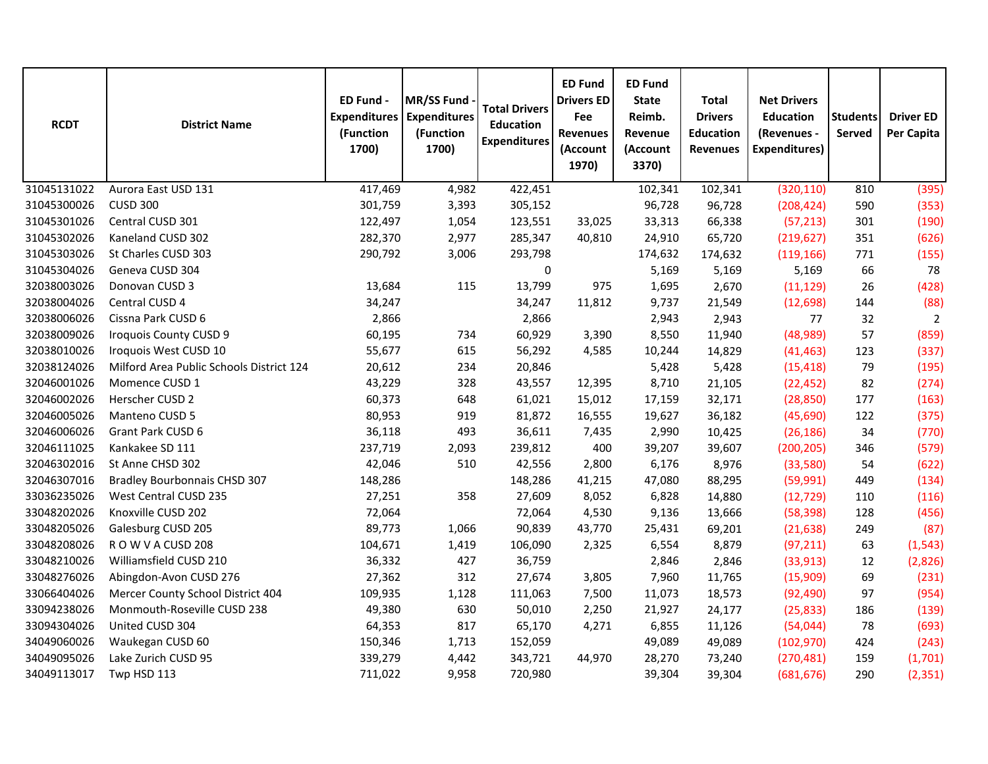| <b>RCDT</b> | <b>District Name</b>                     | ED Fund -<br><b>Expenditures</b><br>(Function<br>1700) | MR/SS Fund<br><b>Expenditures</b><br>(Function<br>1700) | <b>Total Drivers</b><br><b>Education</b><br><b>Expenditures</b> | <b>ED Fund</b><br><b>Drivers ED</b><br>Fee<br><b>Revenues</b><br>(Account<br>1970) | <b>ED Fund</b><br><b>State</b><br>Reimb.<br>Revenue<br>(Account<br>3370) | <b>Total</b><br><b>Drivers</b><br><b>Education</b><br><b>Revenues</b> | <b>Net Drivers</b><br><b>Education</b><br>(Revenues -<br><b>Expenditures)</b> | <b>Students</b><br>Served | <b>Driver ED</b><br>Per Capita |
|-------------|------------------------------------------|--------------------------------------------------------|---------------------------------------------------------|-----------------------------------------------------------------|------------------------------------------------------------------------------------|--------------------------------------------------------------------------|-----------------------------------------------------------------------|-------------------------------------------------------------------------------|---------------------------|--------------------------------|
| 31045131022 | Aurora East USD 131                      | 417,469                                                | 4,982                                                   | 422,451                                                         |                                                                                    | 102,341                                                                  | 102,341                                                               | (320, 110)                                                                    | 810                       | (395)                          |
| 31045300026 | <b>CUSD 300</b>                          | 301,759                                                | 3,393                                                   | 305,152                                                         |                                                                                    | 96,728                                                                   | 96,728                                                                | (208, 424)                                                                    | 590                       | (353)                          |
| 31045301026 | Central CUSD 301                         | 122,497                                                | 1,054                                                   | 123,551                                                         | 33,025                                                                             | 33,313                                                                   | 66,338                                                                | (57, 213)                                                                     | 301                       | (190)                          |
| 31045302026 | Kaneland CUSD 302                        | 282,370                                                | 2,977                                                   | 285,347                                                         | 40,810                                                                             | 24,910                                                                   | 65,720                                                                | (219, 627)                                                                    | 351                       | (626)                          |
| 31045303026 | St Charles CUSD 303                      | 290,792                                                | 3,006                                                   | 293,798                                                         |                                                                                    | 174,632                                                                  | 174,632                                                               | (119, 166)                                                                    | 771                       | (155)                          |
| 31045304026 | Geneva CUSD 304                          |                                                        |                                                         | $\pmb{0}$                                                       |                                                                                    | 5,169                                                                    | 5,169                                                                 | 5,169                                                                         | 66                        | 78                             |
| 32038003026 | Donovan CUSD 3                           | 13,684                                                 | 115                                                     | 13,799                                                          | 975                                                                                | 1,695                                                                    | 2,670                                                                 | (11, 129)                                                                     | 26                        | (428)                          |
| 32038004026 | Central CUSD 4                           | 34,247                                                 |                                                         | 34,247                                                          | 11,812                                                                             | 9,737                                                                    | 21,549                                                                | (12, 698)                                                                     | 144                       | (88)                           |
| 32038006026 | Cissna Park CUSD 6                       | 2,866                                                  |                                                         | 2,866                                                           |                                                                                    | 2,943                                                                    | 2,943                                                                 | 77                                                                            | 32                        | $\overline{2}$                 |
| 32038009026 | Iroquois County CUSD 9                   | 60,195                                                 | 734                                                     | 60,929                                                          | 3,390                                                                              | 8,550                                                                    | 11,940                                                                | (48,989)                                                                      | 57                        | (859)                          |
| 32038010026 | Iroquois West CUSD 10                    | 55,677                                                 | 615                                                     | 56,292                                                          | 4,585                                                                              | 10,244                                                                   | 14,829                                                                | (41, 463)                                                                     | 123                       | (337)                          |
| 32038124026 | Milford Area Public Schools District 124 | 20,612                                                 | 234                                                     | 20,846                                                          |                                                                                    | 5,428                                                                    | 5,428                                                                 | (15, 418)                                                                     | 79                        | (195)                          |
| 32046001026 | Momence CUSD 1                           | 43,229                                                 | 328                                                     | 43,557                                                          | 12,395                                                                             | 8,710                                                                    | 21,105                                                                | (22, 452)                                                                     | 82                        | (274)                          |
| 32046002026 | Herscher CUSD 2                          | 60,373                                                 | 648                                                     | 61,021                                                          | 15,012                                                                             | 17,159                                                                   | 32,171                                                                | (28, 850)                                                                     | 177                       | (163)                          |
| 32046005026 | Manteno CUSD 5                           | 80,953                                                 | 919                                                     | 81,872                                                          | 16,555                                                                             | 19,627                                                                   | 36,182                                                                | (45,690)                                                                      | 122                       | (375)                          |
| 32046006026 | Grant Park CUSD 6                        | 36,118                                                 | 493                                                     | 36,611                                                          | 7,435                                                                              | 2,990                                                                    | 10,425                                                                | (26, 186)                                                                     | 34                        | (770)                          |
| 32046111025 | Kankakee SD 111                          | 237,719                                                | 2,093                                                   | 239,812                                                         | 400                                                                                | 39,207                                                                   | 39,607                                                                | (200, 205)                                                                    | 346                       | (579)                          |
| 32046302016 | St Anne CHSD 302                         | 42,046                                                 | 510                                                     | 42,556                                                          | 2,800                                                                              | 6,176                                                                    | 8,976                                                                 | (33,580)                                                                      | 54                        | (622)                          |
| 32046307016 | Bradley Bourbonnais CHSD 307             | 148,286                                                |                                                         | 148,286                                                         | 41,215                                                                             | 47,080                                                                   | 88,295                                                                | (59,991)                                                                      | 449                       | (134)                          |
| 33036235026 | West Central CUSD 235                    | 27,251                                                 | 358                                                     | 27,609                                                          | 8,052                                                                              | 6,828                                                                    | 14,880                                                                | (12, 729)                                                                     | 110                       | (116)                          |
| 33048202026 | Knoxville CUSD 202                       | 72,064                                                 |                                                         | 72,064                                                          | 4,530                                                                              | 9,136                                                                    | 13,666                                                                | (58, 398)                                                                     | 128                       | (456)                          |
| 33048205026 | Galesburg CUSD 205                       | 89,773                                                 | 1,066                                                   | 90,839                                                          | 43,770                                                                             | 25,431                                                                   | 69,201                                                                | (21, 638)                                                                     | 249                       | (87)                           |
| 33048208026 | ROWVACUSD 208                            | 104,671                                                | 1,419                                                   | 106,090                                                         | 2,325                                                                              | 6,554                                                                    | 8,879                                                                 | (97, 211)                                                                     | 63                        | (1, 543)                       |
| 33048210026 | Williamsfield CUSD 210                   | 36,332                                                 | 427                                                     | 36,759                                                          |                                                                                    | 2,846                                                                    | 2,846                                                                 | (33, 913)                                                                     | 12                        | (2,826)                        |
| 33048276026 | Abingdon-Avon CUSD 276                   | 27,362                                                 | 312                                                     | 27,674                                                          | 3,805                                                                              | 7,960                                                                    | 11,765                                                                | (15,909)                                                                      | 69                        | (231)                          |
| 33066404026 | Mercer County School District 404        | 109,935                                                | 1,128                                                   | 111,063                                                         | 7,500                                                                              | 11,073                                                                   | 18,573                                                                | (92, 490)                                                                     | 97                        | (954)                          |
| 33094238026 | Monmouth-Roseville CUSD 238              | 49,380                                                 | 630                                                     | 50,010                                                          | 2,250                                                                              | 21,927                                                                   | 24,177                                                                | (25, 833)                                                                     | 186                       | (139)                          |
| 33094304026 | United CUSD 304                          | 64,353                                                 | 817                                                     | 65,170                                                          | 4,271                                                                              | 6,855                                                                    | 11,126                                                                | (54, 044)                                                                     | 78                        | (693)                          |
| 34049060026 | Waukegan CUSD 60                         | 150,346                                                | 1,713                                                   | 152,059                                                         |                                                                                    | 49,089                                                                   | 49,089                                                                | (102, 970)                                                                    | 424                       | (243)                          |
| 34049095026 | Lake Zurich CUSD 95                      | 339,279                                                | 4,442                                                   | 343,721                                                         | 44,970                                                                             | 28,270                                                                   | 73,240                                                                | (270, 481)                                                                    | 159                       | (1,701)                        |
| 34049113017 | Twp HSD 113                              | 711,022                                                | 9,958                                                   | 720,980                                                         |                                                                                    | 39,304                                                                   | 39,304                                                                | (681, 676)                                                                    | 290                       | (2, 351)                       |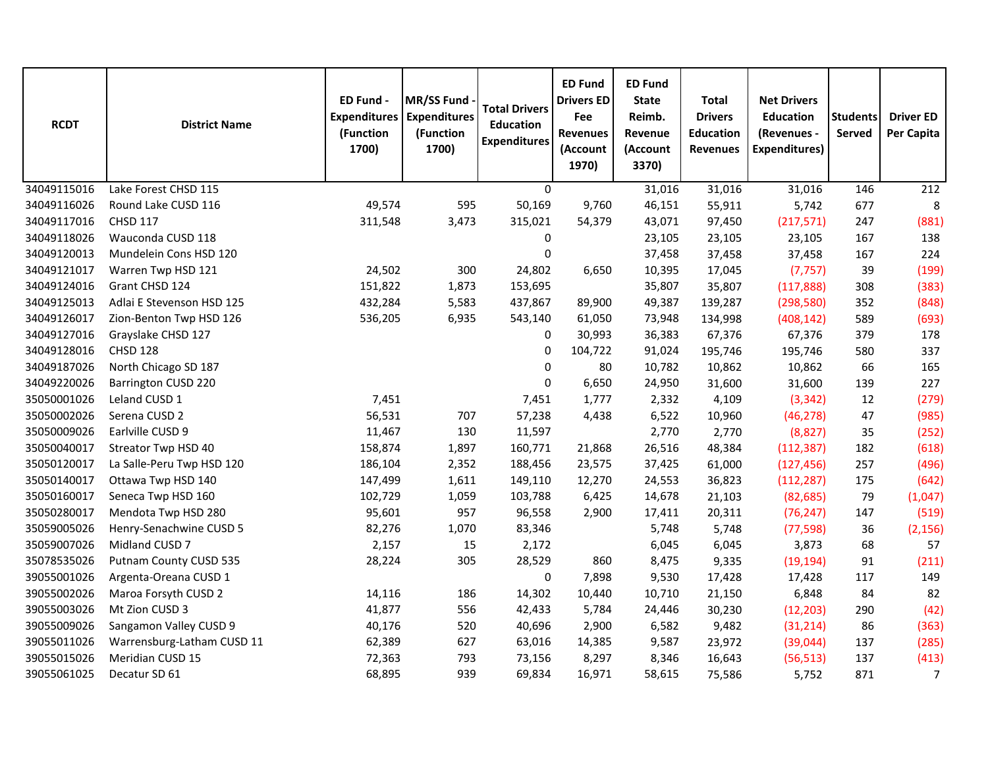| <b>RCDT</b> | <b>District Name</b>       | ED Fund -<br><b>Expenditures</b><br>(Function<br>1700) | MR/SS Fund<br><b>Expenditures</b><br>(Function<br>1700) | <b>Total Drivers</b><br><b>Education</b><br><b>Expenditures</b> | <b>ED Fund</b><br><b>Drivers ED</b><br>Fee<br><b>Revenues</b><br>(Account<br>1970) | <b>ED Fund</b><br><b>State</b><br>Reimb.<br>Revenue<br>(Account<br>3370) | <b>Total</b><br><b>Drivers</b><br><b>Education</b><br><b>Revenues</b> | <b>Net Drivers</b><br><b>Education</b><br>(Revenues -<br><b>Expenditures)</b> | <b>Students</b><br>Served | <b>Driver ED</b><br>Per Capita |
|-------------|----------------------------|--------------------------------------------------------|---------------------------------------------------------|-----------------------------------------------------------------|------------------------------------------------------------------------------------|--------------------------------------------------------------------------|-----------------------------------------------------------------------|-------------------------------------------------------------------------------|---------------------------|--------------------------------|
| 34049115016 | Lake Forest CHSD 115       |                                                        |                                                         | $\mathbf 0$                                                     |                                                                                    | 31,016                                                                   | 31,016                                                                | 31,016                                                                        | 146                       | 212                            |
| 34049116026 | Round Lake CUSD 116        | 49,574                                                 | 595                                                     | 50,169                                                          | 9,760                                                                              | 46,151                                                                   | 55,911                                                                | 5,742                                                                         | 677                       | 8                              |
| 34049117016 | <b>CHSD 117</b>            | 311,548                                                | 3,473                                                   | 315,021                                                         | 54,379                                                                             | 43,071                                                                   | 97,450                                                                | (217, 571)                                                                    | 247                       | (881)                          |
| 34049118026 | Wauconda CUSD 118          |                                                        |                                                         | $\pmb{0}$                                                       |                                                                                    | 23,105                                                                   | 23,105                                                                | 23,105                                                                        | 167                       | 138                            |
| 34049120013 | Mundelein Cons HSD 120     |                                                        |                                                         | 0                                                               |                                                                                    | 37,458                                                                   | 37,458                                                                | 37,458                                                                        | 167                       | 224                            |
| 34049121017 | Warren Twp HSD 121         | 24,502                                                 | 300                                                     | 24,802                                                          | 6,650                                                                              | 10,395                                                                   | 17,045                                                                | (7, 757)                                                                      | 39                        | (199)                          |
| 34049124016 | Grant CHSD 124             | 151,822                                                | 1,873                                                   | 153,695                                                         |                                                                                    | 35,807                                                                   | 35,807                                                                | (117, 888)                                                                    | 308                       | (383)                          |
| 34049125013 | Adlai E Stevenson HSD 125  | 432,284                                                | 5,583                                                   | 437,867                                                         | 89,900                                                                             | 49,387                                                                   | 139,287                                                               | (298, 580)                                                                    | 352                       | (848)                          |
| 34049126017 | Zion-Benton Twp HSD 126    | 536,205                                                | 6,935                                                   | 543,140                                                         | 61,050                                                                             | 73,948                                                                   | 134,998                                                               | (408, 142)                                                                    | 589                       | (693)                          |
| 34049127016 | Grayslake CHSD 127         |                                                        |                                                         | 0                                                               | 30,993                                                                             | 36,383                                                                   | 67,376                                                                | 67,376                                                                        | 379                       | 178                            |
| 34049128016 | <b>CHSD 128</b>            |                                                        |                                                         | $\mathbf 0$                                                     | 104,722                                                                            | 91,024                                                                   | 195,746                                                               | 195,746                                                                       | 580                       | 337                            |
| 34049187026 | North Chicago SD 187       |                                                        |                                                         | 0                                                               | 80                                                                                 | 10,782                                                                   | 10,862                                                                | 10,862                                                                        | 66                        | 165                            |
| 34049220026 | <b>Barrington CUSD 220</b> |                                                        |                                                         | $\pmb{0}$                                                       | 6,650                                                                              | 24,950                                                                   | 31,600                                                                | 31,600                                                                        | 139                       | 227                            |
| 35050001026 | Leland CUSD 1              | 7,451                                                  |                                                         | 7,451                                                           | 1,777                                                                              | 2,332                                                                    | 4,109                                                                 | (3, 342)                                                                      | 12                        | (279)                          |
| 35050002026 | Serena CUSD 2              | 56,531                                                 | 707                                                     | 57,238                                                          | 4,438                                                                              | 6,522                                                                    | 10,960                                                                | (46, 278)                                                                     | 47                        | (985)                          |
| 35050009026 | Earlville CUSD 9           | 11,467                                                 | 130                                                     | 11,597                                                          |                                                                                    | 2,770                                                                    | 2,770                                                                 | (8,827)                                                                       | 35                        | (252)                          |
| 35050040017 | Streator Twp HSD 40        | 158,874                                                | 1,897                                                   | 160,771                                                         | 21,868                                                                             | 26,516                                                                   | 48,384                                                                | (112, 387)                                                                    | 182                       | (618)                          |
| 35050120017 | La Salle-Peru Twp HSD 120  | 186,104                                                | 2,352                                                   | 188,456                                                         | 23,575                                                                             | 37,425                                                                   | 61,000                                                                | (127, 456)                                                                    | 257                       | (496)                          |
| 35050140017 | Ottawa Twp HSD 140         | 147,499                                                | 1,611                                                   | 149,110                                                         | 12,270                                                                             | 24,553                                                                   | 36,823                                                                | (112, 287)                                                                    | 175                       | (642)                          |
| 35050160017 | Seneca Twp HSD 160         | 102,729                                                | 1,059                                                   | 103,788                                                         | 6,425                                                                              | 14,678                                                                   | 21,103                                                                | (82, 685)                                                                     | 79                        | (1,047)                        |
| 35050280017 | Mendota Twp HSD 280        | 95,601                                                 | 957                                                     | 96,558                                                          | 2,900                                                                              | 17,411                                                                   | 20,311                                                                | (76, 247)                                                                     | 147                       | (519)                          |
| 35059005026 | Henry-Senachwine CUSD 5    | 82,276                                                 | 1,070                                                   | 83,346                                                          |                                                                                    | 5,748                                                                    | 5,748                                                                 | (77, 598)                                                                     | 36                        | (2, 156)                       |
| 35059007026 | Midland CUSD 7             | 2,157                                                  | 15                                                      | 2,172                                                           |                                                                                    | 6,045                                                                    | 6,045                                                                 | 3,873                                                                         | 68                        | 57                             |
| 35078535026 | Putnam County CUSD 535     | 28,224                                                 | 305                                                     | 28,529                                                          | 860                                                                                | 8,475                                                                    | 9,335                                                                 | (19, 194)                                                                     | 91                        | (211)                          |
| 39055001026 | Argenta-Oreana CUSD 1      |                                                        |                                                         | $\pmb{0}$                                                       | 7,898                                                                              | 9,530                                                                    | 17,428                                                                | 17,428                                                                        | 117                       | 149                            |
| 39055002026 | Maroa Forsyth CUSD 2       | 14,116                                                 | 186                                                     | 14,302                                                          | 10,440                                                                             | 10,710                                                                   | 21,150                                                                | 6,848                                                                         | 84                        | 82                             |
| 39055003026 | Mt Zion CUSD 3             | 41,877                                                 | 556                                                     | 42,433                                                          | 5,784                                                                              | 24,446                                                                   | 30,230                                                                | (12, 203)                                                                     | 290                       | (42)                           |
| 39055009026 | Sangamon Valley CUSD 9     | 40,176                                                 | 520                                                     | 40,696                                                          | 2,900                                                                              | 6,582                                                                    | 9,482                                                                 | (31, 214)                                                                     | 86                        | (363)                          |
| 39055011026 | Warrensburg-Latham CUSD 11 | 62,389                                                 | 627                                                     | 63,016                                                          | 14,385                                                                             | 9,587                                                                    | 23,972                                                                | (39,044)                                                                      | 137                       | (285)                          |
| 39055015026 | Meridian CUSD 15           | 72,363                                                 | 793                                                     | 73,156                                                          | 8,297                                                                              | 8,346                                                                    | 16,643                                                                | (56, 513)                                                                     | 137                       | (413)                          |
| 39055061025 | Decatur SD 61              | 68,895                                                 | 939                                                     | 69,834                                                          | 16,971                                                                             | 58,615                                                                   | 75,586                                                                | 5,752                                                                         | 871                       | $\overline{7}$                 |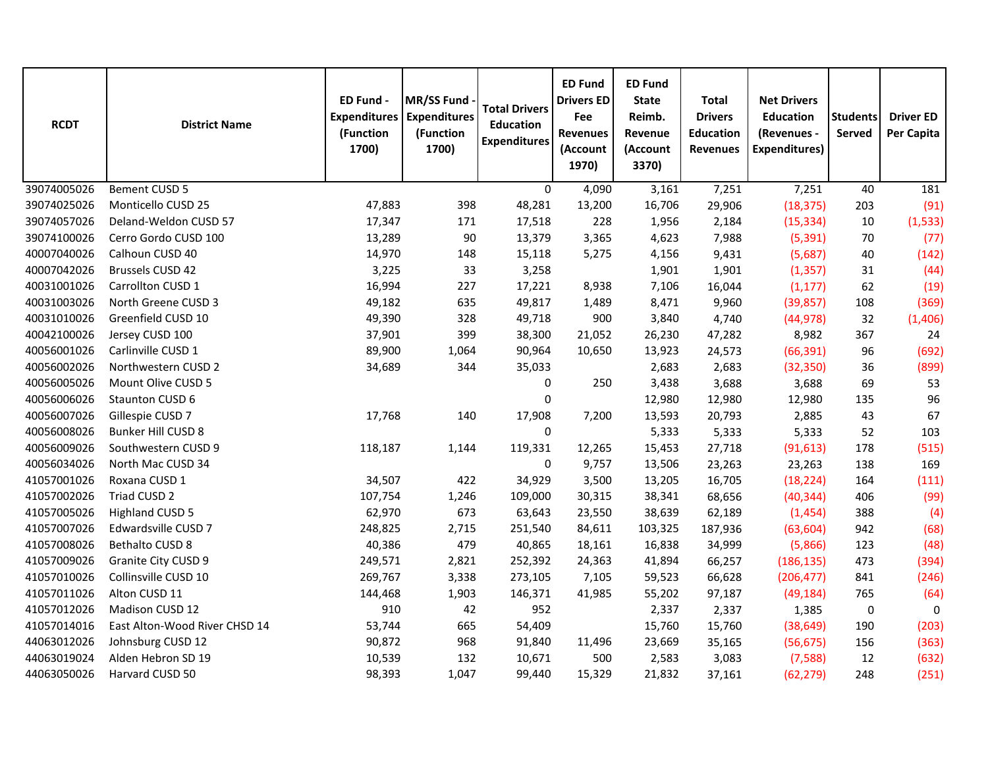| <b>RCDT</b> | <b>District Name</b>          | ED Fund -<br><b>Expenditures</b><br>(Function<br>1700) | <b>MR/SS Fund</b><br><b>Expenditures</b><br>(Function<br>1700) | <b>Total Drivers</b><br><b>Education</b><br><b>Expenditures</b> | <b>ED Fund</b><br><b>Drivers ED</b><br>Fee<br><b>Revenues</b><br>(Account<br>1970) | <b>ED Fund</b><br><b>State</b><br>Reimb.<br>Revenue<br>(Account<br>3370) | <b>Total</b><br><b>Drivers</b><br><b>Education</b><br><b>Revenues</b> | <b>Net Drivers</b><br><b>Education</b><br>(Revenues -<br><b>Expenditures)</b> | <b>Students</b><br><b>Served</b> | <b>Driver ED</b><br>Per Capita |
|-------------|-------------------------------|--------------------------------------------------------|----------------------------------------------------------------|-----------------------------------------------------------------|------------------------------------------------------------------------------------|--------------------------------------------------------------------------|-----------------------------------------------------------------------|-------------------------------------------------------------------------------|----------------------------------|--------------------------------|
| 39074005026 | Bement CUSD 5                 |                                                        |                                                                | 0                                                               | 4,090                                                                              | 3,161                                                                    | 7,251                                                                 | 7,251                                                                         | 40                               | 181                            |
| 39074025026 | Monticello CUSD 25            | 47,883                                                 | 398                                                            | 48,281                                                          | 13,200                                                                             | 16,706                                                                   | 29,906                                                                | (18, 375)                                                                     | 203                              | (91)                           |
| 39074057026 | Deland-Weldon CUSD 57         | 17,347                                                 | 171                                                            | 17,518                                                          | 228                                                                                | 1,956                                                                    | 2,184                                                                 | (15, 334)                                                                     | 10                               | (1, 533)                       |
| 39074100026 | Cerro Gordo CUSD 100          | 13,289                                                 | 90                                                             | 13,379                                                          | 3,365                                                                              | 4,623                                                                    | 7,988                                                                 | (5, 391)                                                                      | 70                               | (77)                           |
| 40007040026 | Calhoun CUSD 40               | 14,970                                                 | 148                                                            | 15,118                                                          | 5,275                                                                              | 4,156                                                                    | 9,431                                                                 | (5,687)                                                                       | 40                               | (142)                          |
| 40007042026 | <b>Brussels CUSD 42</b>       | 3,225                                                  | 33                                                             | 3,258                                                           |                                                                                    | 1,901                                                                    | 1,901                                                                 | (1, 357)                                                                      | 31                               | (44)                           |
| 40031001026 | Carrollton CUSD 1             | 16,994                                                 | 227                                                            | 17,221                                                          | 8,938                                                                              | 7,106                                                                    | 16,044                                                                | (1, 177)                                                                      | 62                               | (19)                           |
| 40031003026 | North Greene CUSD 3           | 49,182                                                 | 635                                                            | 49,817                                                          | 1,489                                                                              | 8,471                                                                    | 9,960                                                                 | (39, 857)                                                                     | 108                              | (369)                          |
| 40031010026 | Greenfield CUSD 10            | 49,390                                                 | 328                                                            | 49,718                                                          | 900                                                                                | 3,840                                                                    | 4,740                                                                 | (44, 978)                                                                     | 32                               | (1,406)                        |
| 40042100026 | Jersey CUSD 100               | 37,901                                                 | 399                                                            | 38,300                                                          | 21,052                                                                             | 26,230                                                                   | 47,282                                                                | 8,982                                                                         | 367                              | 24                             |
| 40056001026 | Carlinville CUSD 1            | 89,900                                                 | 1,064                                                          | 90,964                                                          | 10,650                                                                             | 13,923                                                                   | 24,573                                                                | (66, 391)                                                                     | 96                               | (692)                          |
| 40056002026 | Northwestern CUSD 2           | 34,689                                                 | 344                                                            | 35,033                                                          |                                                                                    | 2,683                                                                    | 2,683                                                                 | (32, 350)                                                                     | 36                               | (899)                          |
| 40056005026 | Mount Olive CUSD 5            |                                                        |                                                                | 0                                                               | 250                                                                                | 3,438                                                                    | 3,688                                                                 | 3,688                                                                         | 69                               | 53                             |
| 40056006026 | Staunton CUSD 6               |                                                        |                                                                | 0                                                               |                                                                                    | 12,980                                                                   | 12,980                                                                | 12,980                                                                        | 135                              | 96                             |
| 40056007026 | Gillespie CUSD 7              | 17,768                                                 | 140                                                            | 17,908                                                          | 7,200                                                                              | 13,593                                                                   | 20,793                                                                | 2,885                                                                         | 43                               | 67                             |
| 40056008026 | Bunker Hill CUSD 8            |                                                        |                                                                | 0                                                               |                                                                                    | 5,333                                                                    | 5,333                                                                 | 5,333                                                                         | 52                               | 103                            |
| 40056009026 | Southwestern CUSD 9           | 118,187                                                | 1,144                                                          | 119,331                                                         | 12,265                                                                             | 15,453                                                                   | 27,718                                                                | (91, 613)                                                                     | 178                              | (515)                          |
| 40056034026 | North Mac CUSD 34             |                                                        |                                                                | 0                                                               | 9,757                                                                              | 13,506                                                                   | 23,263                                                                | 23,263                                                                        | 138                              | 169                            |
| 41057001026 | Roxana CUSD 1                 | 34,507                                                 | 422                                                            | 34,929                                                          | 3,500                                                                              | 13,205                                                                   | 16,705                                                                | (18, 224)                                                                     | 164                              | (111)                          |
| 41057002026 | Triad CUSD 2                  | 107,754                                                | 1,246                                                          | 109,000                                                         | 30,315                                                                             | 38,341                                                                   | 68,656                                                                | (40, 344)                                                                     | 406                              | (99)                           |
| 41057005026 | <b>Highland CUSD 5</b>        | 62,970                                                 | 673                                                            | 63,643                                                          | 23,550                                                                             | 38,639                                                                   | 62,189                                                                | (1,454)                                                                       | 388                              | (4)                            |
| 41057007026 | Edwardsville CUSD 7           | 248,825                                                | 2,715                                                          | 251,540                                                         | 84,611                                                                             | 103,325                                                                  | 187,936                                                               | (63, 604)                                                                     | 942                              | (68)                           |
| 41057008026 | Bethalto CUSD 8               | 40,386                                                 | 479                                                            | 40,865                                                          | 18,161                                                                             | 16,838                                                                   | 34,999                                                                | (5,866)                                                                       | 123                              | (48)                           |
| 41057009026 | Granite City CUSD 9           | 249,571                                                | 2,821                                                          | 252,392                                                         | 24,363                                                                             | 41,894                                                                   | 66,257                                                                | (186, 135)                                                                    | 473                              | (394)                          |
| 41057010026 | Collinsville CUSD 10          | 269,767                                                | 3,338                                                          | 273,105                                                         | 7,105                                                                              | 59,523                                                                   | 66,628                                                                | (206, 477)                                                                    | 841                              | (246)                          |
| 41057011026 | Alton CUSD 11                 | 144,468                                                | 1,903                                                          | 146,371                                                         | 41,985                                                                             | 55,202                                                                   | 97,187                                                                | (49, 184)                                                                     | 765                              | (64)                           |
| 41057012026 | Madison CUSD 12               | 910                                                    | 42                                                             | 952                                                             |                                                                                    | 2,337                                                                    | 2,337                                                                 | 1,385                                                                         | $\pmb{0}$                        | 0                              |
| 41057014016 | East Alton-Wood River CHSD 14 | 53,744                                                 | 665                                                            | 54,409                                                          |                                                                                    | 15,760                                                                   | 15,760                                                                | (38, 649)                                                                     | 190                              | (203)                          |
| 44063012026 | Johnsburg CUSD 12             | 90,872                                                 | 968                                                            | 91,840                                                          | 11,496                                                                             | 23,669                                                                   | 35,165                                                                | (56, 675)                                                                     | 156                              | (363)                          |
| 44063019024 | Alden Hebron SD 19            | 10,539                                                 | 132                                                            | 10,671                                                          | 500                                                                                | 2,583                                                                    | 3,083                                                                 | (7,588)                                                                       | 12                               | (632)                          |
| 44063050026 | Harvard CUSD 50               | 98,393                                                 | 1,047                                                          | 99,440                                                          | 15,329                                                                             | 21,832                                                                   | 37,161                                                                | (62, 279)                                                                     | 248                              | (251)                          |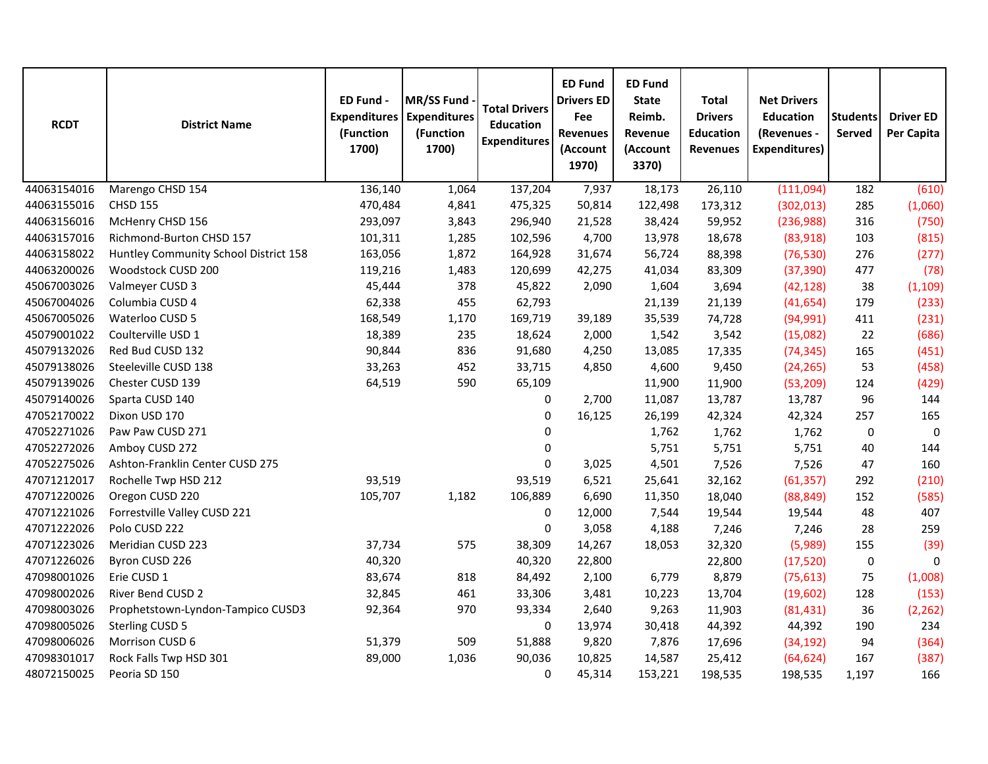| <b>RCDT</b> | <b>District Name</b>                  | ED Fund -<br><b>Expenditures</b><br>(Function<br>1700) | MR/SS Fund<br><b>Expenditures</b><br>(Function<br>1700) | <b>Total Drivers</b><br><b>Education</b><br><b>Expenditures</b> | <b>ED Fund</b><br><b>Drivers ED</b><br>Fee<br><b>Revenues</b><br>(Account<br>1970) | <b>ED Fund</b><br><b>State</b><br>Reimb.<br>Revenue<br>(Account<br>3370) | <b>Total</b><br><b>Drivers</b><br><b>Education</b><br><b>Revenues</b> | <b>Net Drivers</b><br><b>Education</b><br>(Revenues -<br><b>Expenditures)</b> | <b>Students</b><br>Served | <b>Driver ED</b><br>Per Capita |
|-------------|---------------------------------------|--------------------------------------------------------|---------------------------------------------------------|-----------------------------------------------------------------|------------------------------------------------------------------------------------|--------------------------------------------------------------------------|-----------------------------------------------------------------------|-------------------------------------------------------------------------------|---------------------------|--------------------------------|
| 44063154016 | Marengo CHSD 154                      | 136,140                                                | 1,064                                                   | 137,204                                                         | 7,937                                                                              | 18,173                                                                   | 26,110                                                                | (111,094)                                                                     | 182                       | (610)                          |
| 44063155016 | <b>CHSD 155</b>                       | 470,484                                                | 4,841                                                   | 475,325                                                         | 50,814                                                                             | 122,498                                                                  | 173,312                                                               | (302, 013)                                                                    | 285                       | (1,060)                        |
| 44063156016 | McHenry CHSD 156                      | 293,097                                                | 3,843                                                   | 296,940                                                         | 21,528                                                                             | 38,424                                                                   | 59,952                                                                | (236,988)                                                                     | 316                       | (750)                          |
| 44063157016 | Richmond-Burton CHSD 157              | 101,311                                                | 1,285                                                   | 102,596                                                         | 4,700                                                                              | 13,978                                                                   | 18,678                                                                | (83,918)                                                                      | 103                       | (815)                          |
| 44063158022 | Huntley Community School District 158 | 163,056                                                | 1,872                                                   | 164,928                                                         | 31,674                                                                             | 56,724                                                                   | 88,398                                                                | (76, 530)                                                                     | 276                       | (277)                          |
| 44063200026 | Woodstock CUSD 200                    | 119,216                                                | 1,483                                                   | 120,699                                                         | 42,275                                                                             | 41,034                                                                   | 83,309                                                                | (37, 390)                                                                     | 477                       | (78)                           |
| 45067003026 | Valmeyer CUSD 3                       | 45,444                                                 | 378                                                     | 45,822                                                          | 2,090                                                                              | 1,604                                                                    | 3,694                                                                 | (42, 128)                                                                     | 38                        | (1, 109)                       |
| 45067004026 | Columbia CUSD 4                       | 62,338                                                 | 455                                                     | 62,793                                                          |                                                                                    | 21,139                                                                   | 21,139                                                                | (41, 654)                                                                     | 179                       | (233)                          |
| 45067005026 | Waterloo CUSD 5                       | 168,549                                                | 1,170                                                   | 169,719                                                         | 39,189                                                                             | 35,539                                                                   | 74,728                                                                | (94, 991)                                                                     | 411                       | (231)                          |
| 45079001022 | Coulterville USD 1                    | 18,389                                                 | 235                                                     | 18,624                                                          | 2,000                                                                              | 1,542                                                                    | 3,542                                                                 | (15,082)                                                                      | 22                        | (686)                          |
| 45079132026 | Red Bud CUSD 132                      | 90,844                                                 | 836                                                     | 91,680                                                          | 4,250                                                                              | 13,085                                                                   | 17,335                                                                | (74, 345)                                                                     | 165                       | (451)                          |
| 45079138026 | Steeleville CUSD 138                  | 33,263                                                 | 452                                                     | 33,715                                                          | 4,850                                                                              | 4,600                                                                    | 9,450                                                                 | (24, 265)                                                                     | 53                        | (458)                          |
| 45079139026 | Chester CUSD 139                      | 64,519                                                 | 590                                                     | 65,109                                                          |                                                                                    | 11,900                                                                   | 11,900                                                                | (53, 209)                                                                     | 124                       | (429)                          |
| 45079140026 | Sparta CUSD 140                       |                                                        |                                                         | 0                                                               | 2,700                                                                              | 11,087                                                                   | 13,787                                                                | 13,787                                                                        | 96                        | 144                            |
| 47052170022 | Dixon USD 170                         |                                                        |                                                         | 0                                                               | 16,125                                                                             | 26,199                                                                   | 42,324                                                                | 42,324                                                                        | 257                       | 165                            |
| 47052271026 | Paw Paw CUSD 271                      |                                                        |                                                         | 0                                                               |                                                                                    | 1,762                                                                    | 1,762                                                                 | 1,762                                                                         | $\mathbf 0$               | $\pmb{0}$                      |
| 47052272026 | Amboy CUSD 272                        |                                                        |                                                         | 0                                                               |                                                                                    | 5,751                                                                    | 5,751                                                                 | 5,751                                                                         | 40                        | 144                            |
| 47052275026 | Ashton-Franklin Center CUSD 275       |                                                        |                                                         | 0                                                               | 3,025                                                                              | 4,501                                                                    | 7,526                                                                 | 7,526                                                                         | 47                        | 160                            |
| 47071212017 | Rochelle Twp HSD 212                  | 93,519                                                 |                                                         | 93,519                                                          | 6,521                                                                              | 25,641                                                                   | 32,162                                                                | (61, 357)                                                                     | 292                       | (210)                          |
| 47071220026 | Oregon CUSD 220                       | 105,707                                                | 1,182                                                   | 106,889                                                         | 6,690                                                                              | 11,350                                                                   | 18,040                                                                | (88, 849)                                                                     | 152                       | (585)                          |
| 47071221026 | Forrestville Valley CUSD 221          |                                                        |                                                         | 0                                                               | 12,000                                                                             | 7,544                                                                    | 19,544                                                                | 19,544                                                                        | 48                        | 407                            |
| 47071222026 | Polo CUSD 222                         |                                                        |                                                         | 0                                                               | 3,058                                                                              | 4,188                                                                    | 7,246                                                                 | 7,246                                                                         | 28                        | 259                            |
| 47071223026 | Meridian CUSD 223                     | 37,734                                                 | 575                                                     | 38,309                                                          | 14,267                                                                             | 18,053                                                                   | 32,320                                                                | (5,989)                                                                       | 155                       | (39)                           |
| 47071226026 | Byron CUSD 226                        | 40,320                                                 |                                                         | 40,320                                                          | 22,800                                                                             |                                                                          | 22,800                                                                | (17, 520)                                                                     | 0                         | 0                              |
| 47098001026 | Erie CUSD 1                           | 83,674                                                 | 818                                                     | 84,492                                                          | 2,100                                                                              | 6,779                                                                    | 8,879                                                                 | (75, 613)                                                                     | 75                        | (1,008)                        |
| 47098002026 | River Bend CUSD 2                     | 32,845                                                 | 461                                                     | 33,306                                                          | 3,481                                                                              | 10,223                                                                   | 13,704                                                                | (19,602)                                                                      | 128                       | (153)                          |
| 47098003026 | Prophetstown-Lyndon-Tampico CUSD3     | 92,364                                                 | 970                                                     | 93,334                                                          | 2,640                                                                              | 9,263                                                                    | 11,903                                                                | (81, 431)                                                                     | 36                        | (2, 262)                       |
| 47098005026 | Sterling CUSD 5                       |                                                        |                                                         | 0                                                               | 13,974                                                                             | 30,418                                                                   | 44,392                                                                | 44,392                                                                        | 190                       | 234                            |
| 47098006026 | Morrison CUSD 6                       | 51,379                                                 | 509                                                     | 51,888                                                          | 9,820                                                                              | 7,876                                                                    | 17,696                                                                | (34, 192)                                                                     | 94                        | (364)                          |
| 47098301017 | Rock Falls Twp HSD 301                | 89,000                                                 | 1,036                                                   | 90,036                                                          | 10,825                                                                             | 14,587                                                                   | 25,412                                                                | (64, 624)                                                                     | 167                       | (387)                          |
| 48072150025 | Peoria SD 150                         |                                                        |                                                         | 0                                                               | 45,314                                                                             | 153,221                                                                  | 198,535                                                               | 198,535                                                                       | 1,197                     | 166                            |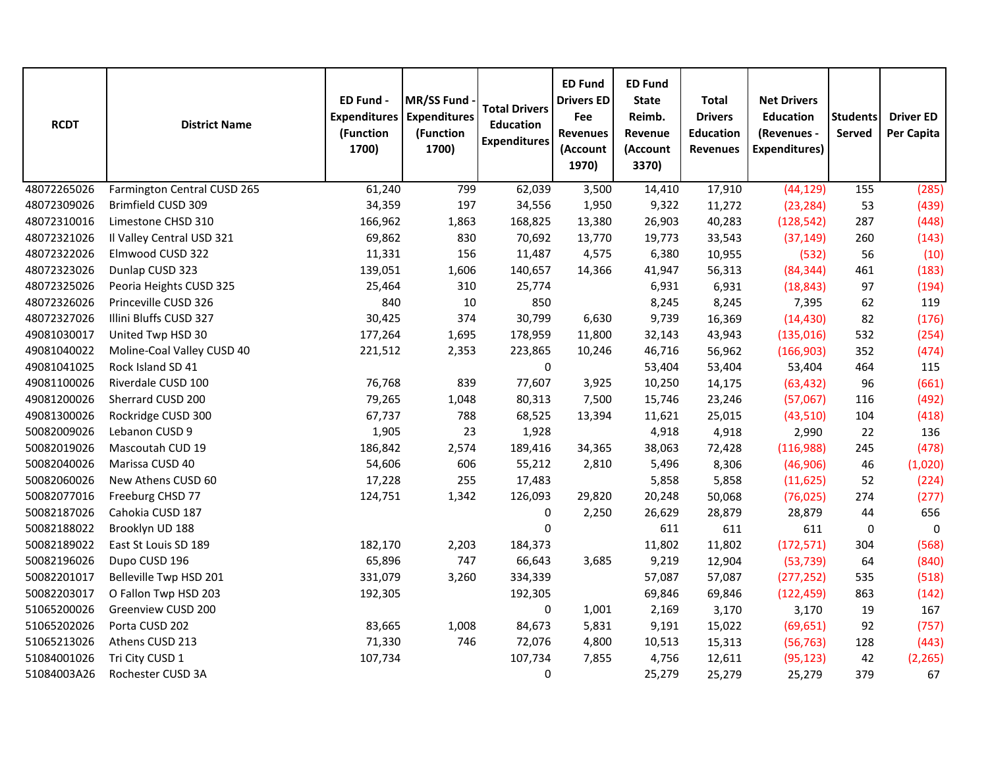| <b>RCDT</b> | <b>District Name</b>        | ED Fund -<br><b>Expenditures</b><br>(Function<br>1700) | MR/SS Fund<br><b>Expenditures</b><br>(Function<br>1700) | <b>Total Drivers</b><br><b>Education</b><br><b>Expenditures</b> | <b>ED Fund</b><br><b>Drivers ED</b><br>Fee<br><b>Revenues</b><br>(Account<br>1970) | <b>ED Fund</b><br><b>State</b><br>Reimb.<br>Revenue<br>(Account<br>3370) | <b>Total</b><br><b>Drivers</b><br><b>Education</b><br><b>Revenues</b> | <b>Net Drivers</b><br><b>Education</b><br>(Revenues -<br><b>Expenditures)</b> | <b>Students</b><br><b>Served</b> | <b>Driver ED</b><br>Per Capita |
|-------------|-----------------------------|--------------------------------------------------------|---------------------------------------------------------|-----------------------------------------------------------------|------------------------------------------------------------------------------------|--------------------------------------------------------------------------|-----------------------------------------------------------------------|-------------------------------------------------------------------------------|----------------------------------|--------------------------------|
| 48072265026 | Farmington Central CUSD 265 | 61,240                                                 | 799                                                     | 62,039                                                          | 3,500                                                                              | 14,410                                                                   | 17,910                                                                | (44, 129)                                                                     | 155                              | (285)                          |
| 48072309026 | Brimfield CUSD 309          | 34,359                                                 | 197                                                     | 34,556                                                          | 1,950                                                                              | 9,322                                                                    | 11,272                                                                | (23, 284)                                                                     | 53                               | (439)                          |
| 48072310016 | Limestone CHSD 310          | 166,962                                                | 1,863                                                   | 168,825                                                         | 13,380                                                                             | 26,903                                                                   | 40,283                                                                | (128, 542)                                                                    | 287                              | (448)                          |
| 48072321026 | Il Valley Central USD 321   | 69,862                                                 | 830                                                     | 70,692                                                          | 13,770                                                                             | 19,773                                                                   | 33,543                                                                | (37, 149)                                                                     | 260                              | (143)                          |
| 48072322026 | Elmwood CUSD 322            | 11,331                                                 | 156                                                     | 11,487                                                          | 4,575                                                                              | 6,380                                                                    | 10,955                                                                | (532)                                                                         | 56                               | (10)                           |
| 48072323026 | Dunlap CUSD 323             | 139,051                                                | 1,606                                                   | 140,657                                                         | 14,366                                                                             | 41,947                                                                   | 56,313                                                                | (84, 344)                                                                     | 461                              | (183)                          |
| 48072325026 | Peoria Heights CUSD 325     | 25,464                                                 | 310                                                     | 25,774                                                          |                                                                                    | 6,931                                                                    | 6,931                                                                 | (18, 843)                                                                     | 97                               | (194)                          |
| 48072326026 | Princeville CUSD 326        | 840                                                    | 10                                                      | 850                                                             |                                                                                    | 8,245                                                                    | 8,245                                                                 | 7,395                                                                         | 62                               | 119                            |
| 48072327026 | Illini Bluffs CUSD 327      | 30,425                                                 | 374                                                     | 30,799                                                          | 6,630                                                                              | 9,739                                                                    | 16,369                                                                | (14, 430)                                                                     | 82                               | (176)                          |
| 49081030017 | United Twp HSD 30           | 177,264                                                | 1,695                                                   | 178,959                                                         | 11,800                                                                             | 32,143                                                                   | 43,943                                                                | (135,016)                                                                     | 532                              | (254)                          |
| 49081040022 | Moline-Coal Valley CUSD 40  | 221,512                                                | 2,353                                                   | 223,865                                                         | 10,246                                                                             | 46,716                                                                   | 56,962                                                                | (166, 903)                                                                    | 352                              | (474)                          |
| 49081041025 | Rock Island SD 41           |                                                        |                                                         | 0                                                               |                                                                                    | 53,404                                                                   | 53,404                                                                | 53,404                                                                        | 464                              | 115                            |
| 49081100026 | Riverdale CUSD 100          | 76,768                                                 | 839                                                     | 77,607                                                          | 3,925                                                                              | 10,250                                                                   | 14,175                                                                | (63, 432)                                                                     | 96                               | (661)                          |
| 49081200026 | Sherrard CUSD 200           | 79,265                                                 | 1,048                                                   | 80,313                                                          | 7,500                                                                              | 15,746                                                                   | 23,246                                                                | (57,067)                                                                      | 116                              | (492)                          |
| 49081300026 | Rockridge CUSD 300          | 67,737                                                 | 788                                                     | 68,525                                                          | 13,394                                                                             | 11,621                                                                   | 25,015                                                                | (43,510)                                                                      | 104                              | (418)                          |
| 50082009026 | Lebanon CUSD 9              | 1,905                                                  | 23                                                      | 1,928                                                           |                                                                                    | 4,918                                                                    | 4,918                                                                 | 2,990                                                                         | 22                               | 136                            |
| 50082019026 | Mascoutah CUD 19            | 186,842                                                | 2,574                                                   | 189,416                                                         | 34,365                                                                             | 38,063                                                                   | 72,428                                                                | (116,988)                                                                     | 245                              | (478)                          |
| 50082040026 | Marissa CUSD 40             | 54,606                                                 | 606                                                     | 55,212                                                          | 2,810                                                                              | 5,496                                                                    | 8,306                                                                 | (46,906)                                                                      | 46                               | (1,020)                        |
| 50082060026 | New Athens CUSD 60          | 17,228                                                 | 255                                                     | 17,483                                                          |                                                                                    | 5,858                                                                    | 5,858                                                                 | (11, 625)                                                                     | 52                               | (224)                          |
| 50082077016 | Freeburg CHSD 77            | 124,751                                                | 1,342                                                   | 126,093                                                         | 29,820                                                                             | 20,248                                                                   | 50,068                                                                | (76, 025)                                                                     | 274                              | (277)                          |
| 50082187026 | Cahokia CUSD 187            |                                                        |                                                         | 0                                                               | 2,250                                                                              | 26,629                                                                   | 28,879                                                                | 28,879                                                                        | 44                               | 656                            |
| 50082188022 | Brooklyn UD 188             |                                                        |                                                         | $\mathbf 0$                                                     |                                                                                    | 611                                                                      | 611                                                                   | 611                                                                           | 0                                | $\mathbf 0$                    |
| 50082189022 | East St Louis SD 189        | 182,170                                                | 2,203                                                   | 184,373                                                         |                                                                                    | 11,802                                                                   | 11,802                                                                | (172, 571)                                                                    | 304                              | (568)                          |
| 50082196026 | Dupo CUSD 196               | 65,896                                                 | 747                                                     | 66,643                                                          | 3,685                                                                              | 9,219                                                                    | 12,904                                                                | (53, 739)                                                                     | 64                               | (840)                          |
| 50082201017 | Belleville Twp HSD 201      | 331,079                                                | 3,260                                                   | 334,339                                                         |                                                                                    | 57,087                                                                   | 57,087                                                                | (277, 252)                                                                    | 535                              | (518)                          |
| 50082203017 | O Fallon Twp HSD 203        | 192,305                                                |                                                         | 192,305                                                         |                                                                                    | 69,846                                                                   | 69,846                                                                | (122, 459)                                                                    | 863                              | (142)                          |
| 51065200026 | Greenview CUSD 200          |                                                        |                                                         | $\pmb{0}$                                                       | 1,001                                                                              | 2,169                                                                    | 3,170                                                                 | 3,170                                                                         | 19                               | 167                            |
| 51065202026 | Porta CUSD 202              | 83,665                                                 | 1,008                                                   | 84,673                                                          | 5,831                                                                              | 9,191                                                                    | 15,022                                                                | (69, 651)                                                                     | 92                               | (757)                          |
| 51065213026 | Athens CUSD 213             | 71,330                                                 | 746                                                     | 72,076                                                          | 4,800                                                                              | 10,513                                                                   | 15,313                                                                | (56, 763)                                                                     | 128                              | (443)                          |
| 51084001026 | Tri City CUSD 1             | 107,734                                                |                                                         | 107,734                                                         | 7,855                                                                              | 4,756                                                                    | 12,611                                                                | (95, 123)                                                                     | 42                               | (2, 265)                       |
| 51084003A26 | Rochester CUSD 3A           |                                                        |                                                         | 0                                                               |                                                                                    | 25,279                                                                   | 25,279                                                                | 25,279                                                                        | 379                              | 67                             |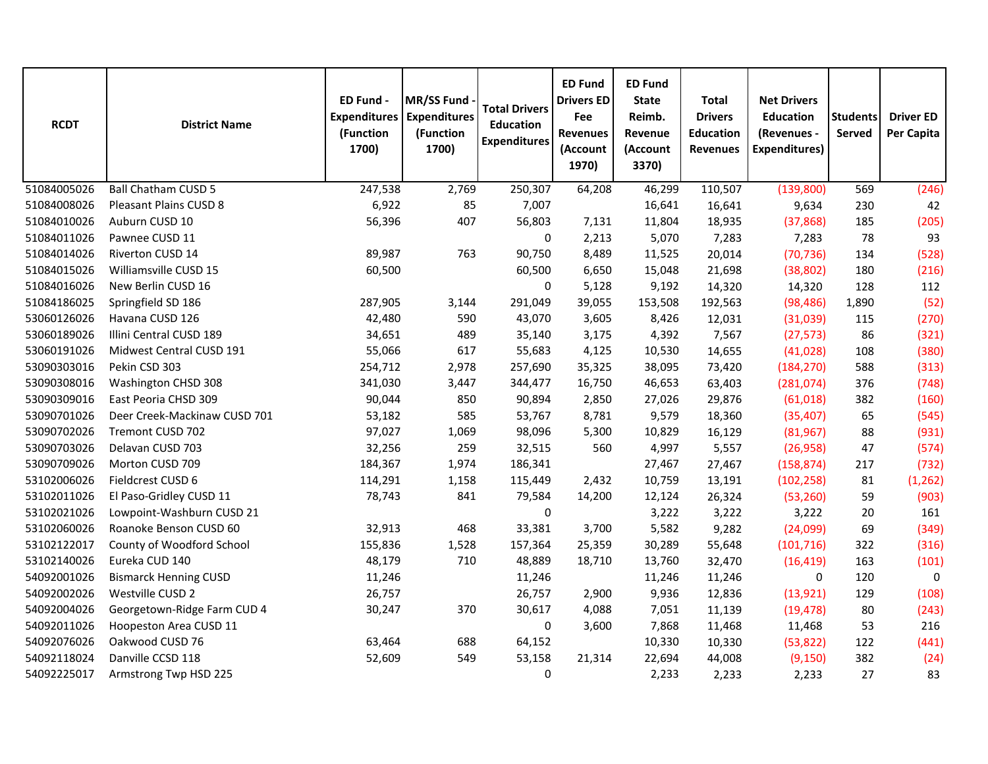| <b>RCDT</b> | <b>District Name</b>         | ED Fund -<br><b>Expenditures</b><br>(Function<br>1700) | MR/SS Fund<br><b>Expenditures</b><br>(Function<br>1700) | <b>Total Drivers</b><br><b>Education</b><br><b>Expenditures</b> | <b>ED Fund</b><br><b>Drivers ED</b><br>Fee<br><b>Revenues</b><br>(Account<br>1970) | <b>ED Fund</b><br><b>State</b><br>Reimb.<br>Revenue<br>(Account<br>3370) | <b>Total</b><br><b>Drivers</b><br><b>Education</b><br><b>Revenues</b> | <b>Net Drivers</b><br><b>Education</b><br>(Revenues -<br><b>Expenditures)</b> | <b>Students</b><br>Served | <b>Driver ED</b><br>Per Capita |
|-------------|------------------------------|--------------------------------------------------------|---------------------------------------------------------|-----------------------------------------------------------------|------------------------------------------------------------------------------------|--------------------------------------------------------------------------|-----------------------------------------------------------------------|-------------------------------------------------------------------------------|---------------------------|--------------------------------|
| 51084005026 | <b>Ball Chatham CUSD 5</b>   | 247,538                                                | 2,769                                                   | 250,307                                                         | 64,208                                                                             | 46,299                                                                   | 110,507                                                               | (139, 800)                                                                    | 569                       | (246)                          |
| 51084008026 | Pleasant Plains CUSD 8       | 6,922                                                  | 85                                                      | 7,007                                                           |                                                                                    | 16,641                                                                   | 16,641                                                                | 9,634                                                                         | 230                       | 42                             |
| 51084010026 | Auburn CUSD 10               | 56,396                                                 | 407                                                     | 56,803                                                          | 7,131                                                                              | 11,804                                                                   | 18,935                                                                | (37, 868)                                                                     | 185                       | (205)                          |
| 51084011026 | Pawnee CUSD 11               |                                                        |                                                         | $\pmb{0}$                                                       | 2,213                                                                              | 5,070                                                                    | 7,283                                                                 | 7,283                                                                         | 78                        | 93                             |
| 51084014026 | Riverton CUSD 14             | 89,987                                                 | 763                                                     | 90,750                                                          | 8,489                                                                              | 11,525                                                                   | 20,014                                                                | (70, 736)                                                                     | 134                       | (528)                          |
| 51084015026 | Williamsville CUSD 15        | 60,500                                                 |                                                         | 60,500                                                          | 6,650                                                                              | 15,048                                                                   | 21,698                                                                | (38, 802)                                                                     | 180                       | (216)                          |
| 51084016026 | New Berlin CUSD 16           |                                                        |                                                         | $\pmb{0}$                                                       | 5,128                                                                              | 9,192                                                                    | 14,320                                                                | 14,320                                                                        | 128                       | 112                            |
| 51084186025 | Springfield SD 186           | 287,905                                                | 3,144                                                   | 291,049                                                         | 39,055                                                                             | 153,508                                                                  | 192,563                                                               | (98, 486)                                                                     | 1,890                     | (52)                           |
| 53060126026 | Havana CUSD 126              | 42,480                                                 | 590                                                     | 43,070                                                          | 3,605                                                                              | 8,426                                                                    | 12,031                                                                | (31,039)                                                                      | 115                       | (270)                          |
| 53060189026 | Illini Central CUSD 189      | 34,651                                                 | 489                                                     | 35,140                                                          | 3,175                                                                              | 4,392                                                                    | 7,567                                                                 | (27, 573)                                                                     | 86                        | (321)                          |
| 53060191026 | Midwest Central CUSD 191     | 55,066                                                 | 617                                                     | 55,683                                                          | 4,125                                                                              | 10,530                                                                   | 14,655                                                                | (41, 028)                                                                     | 108                       | (380)                          |
| 53090303016 | Pekin CSD 303                | 254,712                                                | 2,978                                                   | 257,690                                                         | 35,325                                                                             | 38,095                                                                   | 73,420                                                                | (184, 270)                                                                    | 588                       | (313)                          |
| 53090308016 | Washington CHSD 308          | 341,030                                                | 3,447                                                   | 344,477                                                         | 16,750                                                                             | 46,653                                                                   | 63,403                                                                | (281, 074)                                                                    | 376                       | (748)                          |
| 53090309016 | East Peoria CHSD 309         | 90,044                                                 | 850                                                     | 90,894                                                          | 2,850                                                                              | 27,026                                                                   | 29,876                                                                | (61, 018)                                                                     | 382                       | (160)                          |
| 53090701026 | Deer Creek-Mackinaw CUSD 701 | 53,182                                                 | 585                                                     | 53,767                                                          | 8,781                                                                              | 9,579                                                                    | 18,360                                                                | (35, 407)                                                                     | 65                        | (545)                          |
| 53090702026 | Tremont CUSD 702             | 97,027                                                 | 1,069                                                   | 98,096                                                          | 5,300                                                                              | 10,829                                                                   | 16,129                                                                | (81, 967)                                                                     | 88                        | (931)                          |
| 53090703026 | Delavan CUSD 703             | 32,256                                                 | 259                                                     | 32,515                                                          | 560                                                                                | 4,997                                                                    | 5,557                                                                 | (26, 958)                                                                     | 47                        | (574)                          |
| 53090709026 | Morton CUSD 709              | 184,367                                                | 1,974                                                   | 186,341                                                         |                                                                                    | 27,467                                                                   | 27,467                                                                | (158, 874)                                                                    | 217                       | (732)                          |
| 53102006026 | Fieldcrest CUSD 6            | 114,291                                                | 1,158                                                   | 115,449                                                         | 2,432                                                                              | 10,759                                                                   | 13,191                                                                | (102, 258)                                                                    | 81                        | (1, 262)                       |
| 53102011026 | El Paso-Gridley CUSD 11      | 78,743                                                 | 841                                                     | 79,584                                                          | 14,200                                                                             | 12,124                                                                   | 26,324                                                                | (53, 260)                                                                     | 59                        | (903)                          |
| 53102021026 | Lowpoint-Washburn CUSD 21    |                                                        |                                                         | $\mathbf 0$                                                     |                                                                                    | 3,222                                                                    | 3,222                                                                 | 3,222                                                                         | 20                        | 161                            |
| 53102060026 | Roanoke Benson CUSD 60       | 32,913                                                 | 468                                                     | 33,381                                                          | 3,700                                                                              | 5,582                                                                    | 9,282                                                                 | (24,099)                                                                      | 69                        | (349)                          |
| 53102122017 | County of Woodford School    | 155,836                                                | 1,528                                                   | 157,364                                                         | 25,359                                                                             | 30,289                                                                   | 55,648                                                                | (101, 716)                                                                    | 322                       | (316)                          |
| 53102140026 | Eureka CUD 140               | 48,179                                                 | 710                                                     | 48,889                                                          | 18,710                                                                             | 13,760                                                                   | 32,470                                                                | (16, 419)                                                                     | 163                       | (101)                          |
| 54092001026 | <b>Bismarck Henning CUSD</b> | 11,246                                                 |                                                         | 11,246                                                          |                                                                                    | 11,246                                                                   | 11,246                                                                | 0                                                                             | 120                       | 0                              |
| 54092002026 | Westville CUSD 2             | 26,757                                                 |                                                         | 26,757                                                          | 2,900                                                                              | 9,936                                                                    | 12,836                                                                | (13, 921)                                                                     | 129                       | (108)                          |
| 54092004026 | Georgetown-Ridge Farm CUD 4  | 30,247                                                 | 370                                                     | 30,617                                                          | 4,088                                                                              | 7,051                                                                    | 11,139                                                                | (19, 478)                                                                     | 80                        | (243)                          |
| 54092011026 | Hoopeston Area CUSD 11       |                                                        |                                                         | 0                                                               | 3,600                                                                              | 7,868                                                                    | 11,468                                                                | 11,468                                                                        | 53                        | 216                            |
| 54092076026 | Oakwood CUSD 76              | 63,464                                                 | 688                                                     | 64,152                                                          |                                                                                    | 10,330                                                                   | 10,330                                                                | (53, 822)                                                                     | 122                       | (441)                          |
| 54092118024 | Danville CCSD 118            | 52,609                                                 | 549                                                     | 53,158                                                          | 21,314                                                                             | 22,694                                                                   | 44,008                                                                | (9, 150)                                                                      | 382                       | (24)                           |
| 54092225017 | Armstrong Twp HSD 225        |                                                        |                                                         | $\mathbf 0$                                                     |                                                                                    | 2,233                                                                    | 2,233                                                                 | 2,233                                                                         | 27                        | 83                             |